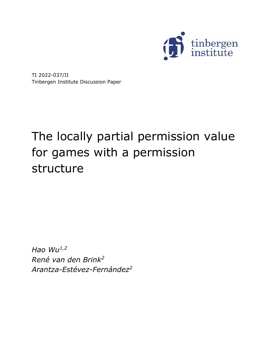

TI 2022-037/II Tinbergen Institute Discussion Paper

# The locally partial permission value for games with a permission structure

*Hao Wu1,2 René van den Brink<sup>2</sup> Arantza-Estévez-Fernández2*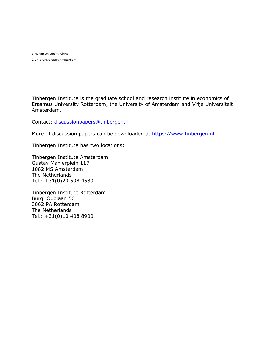1 Hunan University China 2 Vrije Universiteit Amsterdam

Tinbergen Institute is the graduate school and research institute in economics of Erasmus University Rotterdam, the University of Amsterdam and Vrije Universiteit Amsterdam.

Contact: [discussionpapers@tinbergen.nl](mailto:discussionpapers@tinbergen.nl)

More TI discussion papers can be downloaded at [https://www.tinbergen.nl](https://www.tinbergen.nl/)

Tinbergen Institute has two locations:

Tinbergen Institute Amsterdam Gustav Mahlerplein 117 1082 MS Amsterdam The Netherlands Tel.: +31(0)20 598 4580

Tinbergen Institute Rotterdam Burg. Oudlaan 50 3062 PA Rotterdam The Netherlands Tel.: +31(0)10 408 8900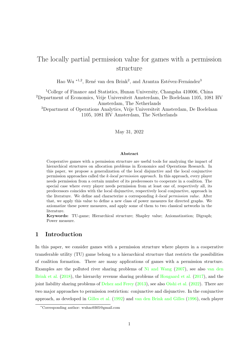# The locally partial permission value for games with a permission structure

Hao Wu<sup>\*1,2</sup>, René van den Brink<sup>2</sup>, and Arantza Estévez-Fernández<sup>3</sup>

<sup>1</sup>College of Finance and Statistics, Hunan University, Changsha 410006, China <sup>2</sup>Department of Economics, Vrije Universiteit Amsterdam, De Boelelaan 1105, 1081 HV Amsterdam, The Netherlands <sup>3</sup>Department of Operations Analytics, Vrije Universiteit Amsterdam, De Boelelaan 1105, 1081 HV Amsterdam, The Netherlands

May 31, 2022

#### Abstract

Cooperative games with a permission structure are useful tools for analyzing the impact of hierarchical structures on allocation problems in Economics and Operations Research. In this paper, we propose a generalization of the local disjunctive and the local conjunctive permission approaches called the k-local permission approach. In this approach, every player needs permission from a certain number of its predecessors to cooperate in a coalition. The special case where every player needs permission from at least one of, respectively all, its predecessors coincides with the local disjunctive, respectively local conjunctive, approach in the literature. We define and characterize a corresponding  $k$ -local permission value. After that, we apply this value to define a new class of power measures for directed graphs. We axiomatize these power measures, and apply some of them to two classical networks in the literature.

Keywords: TU-game; Hierarchical structure; Shapley value; Axiomatization; Digraph; Power measure.

# 1 Introduction

In this paper, we consider games with a permission structure where players in a cooperative transferable utility (TU) game belong to a hierarchical structure that restricts the possibilities of coalition formation. There are many applications of games with a permission structure. Examples are the polluted river sharing problems of [Ni and Wang](#page-29-0) [\(2007\)](#page-29-0), see also [van den](#page-30-0) [Brink et al.](#page-30-0) [\(2018\)](#page-30-0), the hierarchy revenue sharing problems of [Hougaard et al.](#page-29-1) [\(2017\)](#page-29-1), and the joint liability sharing problems of [Dehez and Ferey](#page-28-0) [\(2013\)](#page-28-0), see also [Oishi et al.](#page-29-2) [\(2022\)](#page-29-2). There are two major approaches to permission restriction: conjunctive and disjunctive. In the conjunctive approach, as developed in [Gilles et al.](#page-29-3) [\(1992\)](#page-29-3) and [van den Brink and Gilles](#page-30-1) [\(1996\)](#page-30-1), each player

<sup>∗</sup>Corresponding author: wuhao9305@gmail.com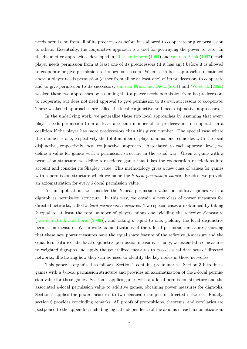needs permission from all of its predecessors before it is allowed to cooperate or give permission to others. Essentially, the conjunctive approach is a tool for portraying the power to veto. In the disjunctive approach as developed in [Gilles and Owen](#page-29-4) [\(1994\)](#page-29-4) and [van den Brink](#page-30-2) [\(1997\)](#page-30-2), each player needs permission from at least one of its predecessors (if it has any) before it is allowed to cooperate or give permission to its own successors. Whereas in both approaches mentioned above a player needs permission (either from all or at least one) of its predecessors to cooperate and to give permission to its successors, [van den Brink and Dietz](#page-30-3) [\(2014\)](#page-30-3) and [Wu et al.](#page-30-4) [\(2022\)](#page-30-4) weaken these two approaches by assuming that a player needs permission from its predecessors to cooperate, but does not need approval to give permission to its own successors to cooperate. These weakened approaches are called the local conjunctive and local disjunctive approaches.

In the underlying work, we generalize these two local approaches by assuming that every player needs permission from at least a certain number of its predecessors to cooperate in a coalition if the player has more predecessors than this given number. The special case where this number is one, respectively the total number of players minus one, coincides with the local disjunctive, respectively local conjunctive, approach. Associated to each approval level, we define a value for games with a permission structure in the usual way. Given a game with a permission structure, we define a restricted game that takes the cooperation restrictions into account and consider its Shapley value. This methodology gives a new class of values for games with a permission structure which we name the k-local permission values. Besides, we provide an axiomatization for every k-local permission value.

As an application, we consider the k-local permission value on additive games with a digraph as permission structure. In this way, we obtain a new class of power measures for directed networks, called k-local permission measures. Two special cases are obtained by taking k equal to at least the total number of players minus one, yielding the reflexive  $\beta$ -measure [\(van den Brink and Borm](#page-30-5)  $(2002)$ ), and taking k equal to one, yielding the local disjunctive permission measure. We provide axiomatizations of the k-local permission measures, showing that these new power measures have the equal share feature of the reflexive  $\beta$ -measure and the equal loss feature of the local disjunctive permission measure. Finally, we extend these measures to weighted digraphs and apply the generalized measures to two classical data sets of directed networks, illustrating how they can be used to identify the key nodes in those networks.

This paper is organized as follows. Section 2 contains preliminaries. Section 3 introduces games with a  $k$ -local permission structure and provides an axiomatization of the  $k$ -local permission value for these games. Section 4 applies games with a k-local permission structure and the associated k-local permission value to additive games, obtaining power measures for digraphs. Section 5 applies the power measures to two classical examples of directed networks. Finally, section 6 provides concluding remarks. All proofs of propositions, theorems, and corollaries are postponed to the appendix, including logical independence of the axioms in each axiomatization.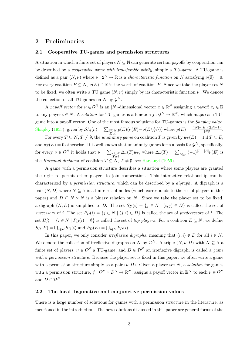#### 2 Preliminaries

#### 2.1 Cooperative TU-games and permission structures

A situation in which a finite set of players  $N \subseteq \mathbb{N}$  can generate certain payoffs by cooperation can be described by a *cooperative game with transferable utility*, simply a TU-game. A TU-game is defined as a pair  $(N, \nu)$  where  $\nu : 2^N \to \mathbb{R}$  is a *characteristic function* on N satisfying  $\nu(\emptyset) = 0$ . For every coalition  $E \subseteq N$ ,  $\nu(E) \in \mathbb{R}$  is the worth of coalition E. Since we take the player set N to be fixed, we often write a TU game  $(N, \nu)$  simply by its characteristic function  $\nu$ . We denote the collection of all TU-games on N by  $\mathcal{G}^N$ .

A payoff vector for  $\nu \in \mathcal{G}^N$  is an |N|-dimensional vector  $x \in \mathbb{R}^N$  assigning a payoff  $x_i \in \mathbb{R}$ to any player  $i \in N$ . A *solution* for TU-games is a function  $f: \mathcal{G}^N \to \mathbb{R}^N$ , which maps each TUgame into a payoff vector. One of the most famous solutions for TU-games is the Shapley value, [Shapley](#page-30-6) [\(1953\)](#page-30-6), given by  $\mathcal{S}h_i(\nu) = \sum_{\substack{E \subseteq N \\ E \ni i}}$  $p(E)(\nu(E)-\nu(E\setminus\{i\}))$  where  $p(E)=\frac{(|N|-|E|)!(|E|-1)!}{|N|!}.$ 

For every  $T \subseteq N$ ,  $T \neq \emptyset$ , the unanimity game on coalition T is given by  $u_T(E) = 1$  if  $T \subseteq E$ , and  $u_T(E) = 0$  otherwise. It is well known that unanimity games form a basis for  $\mathcal{G}^N$ , specifically, for every  $\nu \in \mathcal{G}^N$  it holds that  $\nu = \sum_{T \subseteq N}$  $T{\neq}\emptyset$  $\Delta_{\nu}(T)u_T$ , where  $\Delta_{\nu}(T) = \sum_{E \subseteq T} (-1)^{|T| - |E|} \nu(E)$  is the [Harsanyi](#page-29-5) dividend of coalition  $T \subseteq N$ ,  $T \neq \emptyset$ , see Harsanyi [\(1959\)](#page-29-5).

A game with a permission structure describes a situation where some players are granted the right to permit other players to join cooperation. This interactive relationship can be characterized by a *permission structure*, which can be described by a *digraph*. A digraph is a pair  $(N, D)$  where  $N \subseteq \mathbb{N}$  is a finite set of nodes (which corresponds to the set of players in this paper) and  $D \subseteq N \times N$  is a binary relation on N. Since we take the player set to be fixed, a digraph  $(N, D)$  is simplified to D. The set  $S_D(i) = \{j \in N \mid (i, j) \in D\}$  is called the set of successors of i. The set  $P_D(i) = \{j \in N \mid (j,i) \in D\}$  is called the set of predecessors of i. The set  $H_D^N = \{i \in N \mid P_D(i) = \emptyset\}$  is called the set of *top players*. For a coalition  $E \subseteq N$ , we define  $S_D(E) = \bigcup_{i \in E} S_D(i)$  and  $P_D(E) = \bigcup_{i \in E} P_D(i)$ .

In this paper, we only consider *irreflexive digraphs*, meaning that  $(i, i) \notin D$  for all  $i \in N$ . We denote the collection of irreflexive digraphs on N by  $\mathcal{D}^N$ . A triple  $(N, \nu, D)$  with  $N \subset \mathbb{N}$  a finite set of players,  $\nu \in \mathcal{G}^N$  a TU-game, and  $D \in \mathcal{D}^N$  an irreflexive digraph, is called a game with a permission structure. Because the player set is fixed in this paper, we often write a game with a permission structure simply as a pair  $(\nu, D)$ . Given a player set N, a *solution* for games with a permission structure,  $f: \mathcal{G}^N \times \mathcal{D}^N \to \mathbb{R}^N$ , assigns a payoff vector in  $\mathbb{R}^N$  to each  $\nu \in \mathcal{G}^N$ and  $D \in \mathcal{D}^N$ .

#### 2.2 The local disjunctive and conjunctive permission values

There is a large number of solutions for games with a permission structure in the literature, as mentioned in the introduction. The new solutions discussed in this paper are general forms of the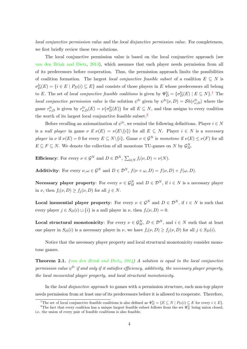local conjunctive permission value and the local disjunctive permission value. For completeness, we first briefly review these two solutions.

The local conjunctive permission value is based on the local conjunctive approach (see [van den Brink and Dietz,](#page-30-3) [2014\)](#page-30-3), which assumes that each player needs permission from all of its predecessors before cooperation. Thus, the permission approach limits the possibilities of coalition formation. The largest local conjunctive feasible subset of a coalition  $E \subseteq N$  is  $\sigma_D^{lc}(E) = \{i \in E \mid P_D(i) \subseteq E\}$  and consists of those players in E whose predecessors all belong to E. The set of local conjunctive feasible coalitions is given by  $\Psi_D^{lc} = {\{\sigma_D^{lc}(E) \mid E \subseteq N\}}$ .<sup>[1](#page-5-0)</sup> The *local conjunctive permission value* is the solution  $\psi^{lc}$  given by  $\psi^{lc}(\nu, D) = Sh(r_{\nu,D}^{lc})$  where the game  $r_{\nu,D}^{lc}$  is given by  $r_{\nu,D}^{lc}(E) = \nu(\sigma_D^{lc}(E))$  for all  $E \subseteq N$ , and thus assigns to every coalition the worth of its largest local conjunctive feasible subset.<sup>[2](#page-5-1)</sup>

Before recalling an axiomatization of  $\psi^{lc}$ , we remind the following definitions. Player  $i \in N$ is a null player in game  $\nu$  if  $\nu(E) = \nu(E\setminus\{i\})$  for all  $E \subseteq N$ . Player  $i \in N$  is a necessary player in  $\nu$  if  $\nu(E) = 0$  for every  $E \subseteq N \setminus \{i\}$ . Game  $\nu \in \mathcal{G}^N$  is monotone if  $\nu(E) \le \nu(F)$  for all  $E \subseteq F \subseteq N$ . We denote the collection of all monotone TU-games on N by  $\mathcal{G}_{M}^{N}$ .

**Efficiency**: For every  $\nu \in \mathcal{G}^N$  and  $D \in \mathcal{D}^N$ ,  $\sum_{i \in N} f_i(\nu, D) = \nu(N)$ .

**Additivity:** For every  $\nu, \omega \in \mathcal{G}^N$  and  $D \in \mathcal{D}^N$ ,  $f(\nu + \omega, D) = f(\nu, D) + f(\omega, D)$ .

**Necessary player property**: For every  $\nu \in \mathcal{G}_M^N$  and  $D \in \mathcal{D}^N$ , if  $i \in N$  is a necessary player in  $\nu$ , then  $f_i(\nu, D) \geq f_i(\nu, D)$  for all  $j \in N$ .

**Local inessential player property:** For every  $\nu \in \mathcal{G}^N$  and  $D \in \mathcal{D}^N$ , if  $i \in N$  is such that every player  $j \in S_D(i) \cup \{i\}$  is a null player in  $\nu$ , then  $f_i(\nu, D) = 0$ .

**Local structural monotonicity**: For every  $\nu \in \mathcal{G}_M^N$ ,  $D \in \mathcal{D}^N$ , and  $i \in N$  such that at least one player in  $S_D(i)$  is a necessary player in  $\nu$ , we have  $f_i(\nu, D) \ge f_j(\nu, D)$  for all  $j \in S_D(i)$ .

Notice that the necessary player property and local structural monotonicity consider monotone games.

<span id="page-5-2"></span>**Theorem 2.1.** [\(van den Brink and Dietz,](#page-30-3)  $2014$ ) A solution is equal to the local conjunctive permission value  $\psi^{lc}$  if and only if it satisfies efficiency, additivity, the necessary player property, the local inessential player property, and local structural monotonicity.

In the local disjunctive approach to games with a permission structure, each non-top player needs permission from at least one of its predecessors before it is allowed to cooperate. Therefore,

<span id="page-5-1"></span><span id="page-5-0"></span><sup>&</sup>lt;sup>1</sup>The set of local conjunctive feasible coalitions is also defined as  $\Psi_D^{lc} = \{ E \subseteq N \mid P_D(i) \subseteq E \text{ for every } i \in E \}.$ 

<sup>&</sup>lt;sup>2</sup>The fact that every coalition has a unique largest feasible subset follows from the set  $\Psi_D^{lc}$  being union closed, i.e. the union of every pair of feasible coalitions is also feasible.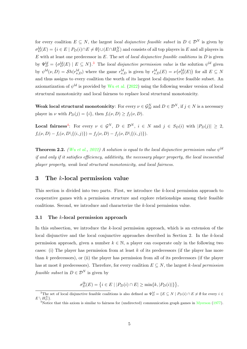for every coalition  $E \subseteq N$ , the largest *local disjunctive feasible subset* in  $D \in \mathcal{D}^N$  is given by  $\sigma_D^{ld}(E) = \{i \in E \mid P_D(i) \cap E \neq \emptyset\} \cup (E \cap H_D^N)$  and consists of all top players in E and all players in  $E$  with at least one predecessor in  $E$ . The set of *local disjunctive feasible coalitions* in  $D$  is given by  $\Psi_D^{ld} = {\sigma_D^{ld}(E) \mid E \subseteq N}$ .<sup>[3](#page-6-0)</sup> The local disjunctive permission value is the solution  $\psi^{ld}$  given by  $\psi^{ld}(\nu, D) = Sh(r_{\nu,D}^{ld})$  where the game  $r_{\nu,D}^{ld}$  is given by  $r_{\nu,D}^{ld}(E) = \nu(\sigma_D^{ld}(E))$  for all  $E \subseteq N$ and thus assigns to every coalition the worth of its largest local disjunctive feasible subset. An axiomatization of  $\psi^{ld}$  is provided by [Wu et al.](#page-30-4) [\(2022\)](#page-30-4) using the following weaker version of local structural monotonicity and local fairness to replace local structural monotonicity.

Weak local structural monotonicity: For every  $\nu \in \mathcal{G}_M^N$  and  $D \in \mathcal{D}^N$ , if  $j \in N$  is a necessary player in  $\nu$  with  $P_D(j) = \{i\}$ , then  $f_i(\nu, D) \ge f_j(\nu, D)$ .

**Local fairness**<sup>[4](#page-6-1)</sup>: For every  $\nu \in \mathcal{G}^N$ ,  $D \in \mathcal{D}^N$ ,  $i \in N$  and  $j \in S_D(i)$  with  $|P_D(j)| \geq 2$ ,  $f_i(\nu, D) - f_i(\nu, D\setminus\{(i, j)\}) = f_i(\nu, D) - f_i(\nu, D\setminus\{(i, j)\}).$ 

<span id="page-6-2"></span>**Theorem 2.2.** [\(Wu et al.,](#page-30-4) [2022\)](#page-30-4) A solution is equal to the local disjunctive permission value  $\psi^{ld}$ if and only if it satisfies efficiency, additivity, the necessary player property, the local inessential player property, weak local structural monotonicity, and local fairness.

#### 3 The k-local permission value

This section is divided into two parts. First, we introduce the k-local permission approach to cooperative games with a permission structure and explore relationships among their feasible coalitions. Second, we introduce and characterize the k-local permission value.

#### 3.1 The k-local permission approach

In this subsection, we introduce the  $k$ -local permission approach, which is an extension of the local disjunctive and the local conjunctive approaches described in Section 2. In the k-local permission approach, given a number  $k \in \mathbb{N}$ , a player can cooperate only in the following two cases: (i) The player has permission from at least  $k$  of its predecessors (if the player has more than k predecessors), or (ii) the player has permission from all of its predecessors (if the player has at most k predecessors). Therefore, for every coalition  $E \subseteq N$ , the largest k-local permission *feasible subset* in  $D \in \mathcal{D}^N$  is given by

$$
\sigma_D^{lk}(E) = \{ i \in E \mid |P_D(i) \cap E| \ge \min\{k, |P_D(i)|\} \},
$$

<span id="page-6-0"></span><sup>&</sup>lt;sup>3</sup>The set of local disjunctive feasible coalitions is also defined as  $\Psi_D^{ld} = \{ E \subseteq N \mid P_D(i) \cap E \neq \emptyset \}$  for every  $i \in$  $E \setminus H_D^N\}.$ 

<span id="page-6-1"></span><sup>&</sup>lt;sup>4</sup>Notice that this axiom is similar to fairness for (undirected) communication graph games in [Myerson](#page-29-6) [\(1977\)](#page-29-6).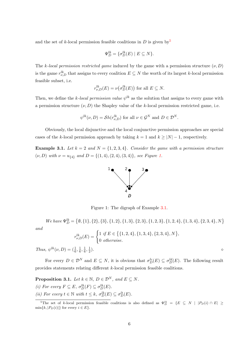and the set of k-local permission feasible coalitions in  $D$  is given by  $5$ 

$$
\Psi_D^{lk} = \{ \sigma_D^{lk}(E) \mid E \subseteq N \}.
$$

The k-local permission restricted game induced by the game with a permission structure  $(\nu, D)$ is the game  $r_{\nu,D}^{lk}$  that assigns to every coalition  $E\subseteq N$  the worth of its largest k-local permission feasible subset, i.e.

$$
r_{\nu,D}^{lk}(E) = \nu(\sigma_D^{lk}(E))
$$
 for all  $E \subseteq N$ .

Then, we define the k-local permission value  $\psi^{lk}$  as the solution that assigns to every game with a permission structure  $(\nu, D)$  the Shapley value of the k-local permission restricted game, i.e.

$$
\psi^{lk}(\nu, D) = \mathcal{S}h(r_{\nu, D}^{lk}) \text{ for all } \nu \in \mathcal{G}^N \text{ and } D \in \mathcal{D}^N.
$$

Obviously, the local disjunctive and the local conjunctive permission approaches are special cases of the k-local permission approach by taking  $k = 1$  and  $k \geq |N| - 1$ , respectively.

<span id="page-7-2"></span>**Example 3.1.** Let  $k = 2$  and  $N = \{1, 2, 3, 4\}$ . Consider the game with a permission structure  $(\nu, D)$  with  $\nu = u_{\{4\}}$  and  $D = \{(1, 4), (2, 4), (3, 4)\}\$ , see Figure [1.](#page-7-1)

<span id="page-7-1"></span>

Figure 1: The digraph of Example [3.1.](#page-7-2)

 $\emph{We have $\Psi_D^{lk}=\left\{\emptyset, \{1\}, \{2\}, \{3\}, \{1,2\}, \{1,3\}, \{2,3\}, \{1,2,3\}, \{1,2,4\}, \{1,3,4\}, \{2,3,4\}, N\right\}$}$ 

$$
and
$$

$$
r_{\nu,D}^{lk}(E) = \begin{cases} 1 & \text{if } E \in \{ \{1,2,4\}, \{1,3,4\}, \{2,3,4\}, N \} \\ 0 & \text{otherwise.} \end{cases}
$$

Thus,  $\psi^{lk}(\nu, D) = (\frac{1}{6}, \frac{1}{6})$  $\frac{1}{6}, \frac{1}{6}$  $\frac{1}{6}, \frac{1}{2}$ 2 ).  $\hspace{1.6cm} \diamond$ 

For every  $D \in \mathcal{D}^N$  and  $E \subseteq N$ , it is obvious that  $\sigma_D^{lc}(E) \subseteq \sigma_D^{ld}(E)$ . The following result provides statements relating different k-local permission feasible coalitions.

<span id="page-7-3"></span>**Proposition 3.1.** Let  $k \in \mathbb{N}$ ,  $D \in \mathcal{D}^N$ , and  $E \subseteq N$ . (i) For every  $F \subseteq E$ ,  $\sigma_D^{lk}(F) \subseteq \sigma_D^{lk}(E)$ . (ii) For every  $t \in \mathbb{N}$  with  $t \leq k$ ,  $\sigma_D^{lk}(E) \subseteq \sigma_D^{lt}(E)$ .

<span id="page-7-0"></span><sup>&</sup>lt;sup>5</sup>The set of k-local permission feasible coalitions is also defined as  $\Psi_D^{lk} = \{E \subseteq N \mid |P_D(i) \cap E| \ge$  $\min\{k, |P_D(i)|\}$  for every  $i \in E$ .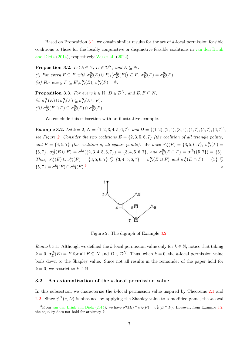Based on Proposition  $3.1$ , we obtain similar results for the set of  $k$ -local permission feasible coalitions to those for the locally conjunctive or disjunctive feasible coalitions in [van den Brink](#page-30-3) [and Dietz](#page-30-3) [\(2014\)](#page-30-3), respectively [Wu et al.](#page-30-4) [\(2022\)](#page-30-4).

**Proposition 3.2.** Let  $k \in \mathbb{N}$ ,  $D \in \mathcal{D}^N$ , and  $E \subseteq N$ . (i) For every  $F \subseteq E$  with  $\sigma_D^{lk}(E) \cup P_D(\sigma_D^{lk}(E)) \subseteq F$ ,  $\sigma_D^{lk}(F) = \sigma_D^{lk}(E)$ . (*ii*) For every  $F \subseteq E \setminus \sigma_D^{lk}(E)$ ,  $\sigma_D^{lk}(F) = \emptyset$ .

**Proposition 3.3.** For every  $k \in \mathbb{N}$ ,  $D \in \mathcal{D}^N$ , and  $E, F \subseteq N$ , (i)  $\sigma_D^{lk}(E) \cup \sigma_D^{lk}(F) \subseteq \sigma_D^{lk}(E \cup F)$ . (*ii*)  $\sigma_D^{lk}(E \cap F) \subseteq \sigma_D^{lk}(E) \cap \sigma_D^{lk}(F)$ .

We conclude this subsection with an illustrative example.

<span id="page-8-2"></span>**Example 3.2.** Let  $k = 2$ ,  $N = \{1, 2, 3, 4, 5, 6, 7\}$ , and  $D = \{(1, 2), (2, 4), (3, 4), (4, 7), (5, 7), (6, 7)\}$ , see Figure [2.](#page-8-0) Consider the two coalitions  $E = \{2, 3, 5, 6, 7\}$  (the coalition of all triangle points) and  $F = \{4, 5, 7\}$  (the coalition of all square points). We have  $\sigma_D^{lk}(E) = \{3, 5, 6, 7\}$ ,  $\sigma_D^{lk}(F) =$  $\{5,7\}, \sigma_D^{lk}(E \cup F) = \sigma^{lk}(\{2,3,4,5,6,7\}) = \{3,4,5,6,7\}, \text{ and } \sigma_D^{lk}(E \cap F) = \sigma^{lk}(\{5,7\}) = \{5\}.$ Thus,  $\sigma_D^{lk}(E) \cup \sigma_D^{lk}(F) = \{3, 5, 6, 7\} \subsetneq \{3, 4, 5, 6, 7\} = \sigma_D^{lk}(E \cup F)$  and  $\sigma_D^{lk}(E \cap F) = \{5\} \subsetneq$  $\{5,7\} = \sigma_D^{lk}(E) \cap \sigma_D^{lk}(F).$  $\sim$ 



<span id="page-8-0"></span>Figure 2: The digraph of Example [3.2.](#page-8-2)

Remark 3.1. Although we defined the k-local permission value only for  $k \in \mathbb{N}$ , notice that taking  $k = 0$ ,  $\sigma_D^{lk}(E) = E$  for all  $E \subseteq N$  and  $D \in \mathcal{D}^N$ . Thus, when  $k = 0$ , the k-local permission value boils down to the Shapley value. Since not all results in the remainder of the paper hold for  $k = 0$ , we restrict to  $k \in \mathbb{N}$ .

#### 3.2 An axiomatization of the k-local permission value

In this subsection, we characterize the k-local permission value inspired by Theorems [2.1](#page-5-2) and [2.2.](#page-6-2) Since  $\psi^{lk}(\nu, D)$  is obtained by applying the Shapley value to a modified game, the k-local

<span id="page-8-1"></span><sup>&</sup>lt;sup>6</sup>From [van den Brink and Dietz](#page-30-3) [\(2014\)](#page-30-3), we have  $\sigma_D^{lc}(E) \cap \sigma_D^{lc}(F) = \sigma_D^{lc}(E \cap F)$ . However, from Example [3.2,](#page-8-2) the equality does not hold for arbitrary  $k$ .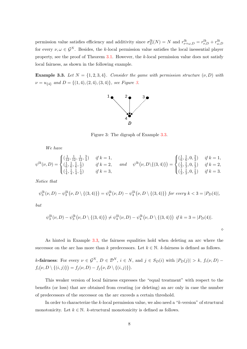permission value satisfies efficiency and additivity since  $\sigma_D^{lk}(N) = N$  and  $r_{\nu+\omega,D}^{lk} = r_{\nu,D}^{lk} + r_{\omega,D}^{lk}$ for every  $\nu, \omega \in \mathcal{G}^N$ . Besides, the k-local permission value satisfies the local inessential player property, see the proof of Theorem [3.1.](#page-10-0) However, the k-local permission value does not satisfy local fairness, as shown in the following example.

<span id="page-9-1"></span>**Example 3.3.** Let  $N = \{1, 2, 3, 4\}$ . Consider the game with permission structure  $(\nu, D)$  with  $\nu=u_{\{4\}}\,$  and  $D=\{(1,4),(2,4),(3,4)\},\, \, see\, \, Figure\, \, 3.$  $D=\{(1,4),(2,4),(3,4)\},\, \, see\, \, Figure\, \, 3.$ 

<span id="page-9-0"></span>

Figure 3: The digraph of Example [3.3.](#page-9-1)

We have

$$
\psi^{lk}(\nu, D) = \begin{cases}\n(\frac{1}{12}, \frac{1}{12}, \frac{1}{12}, \frac{3}{4}) & \text{if } k = 1, \\
(\frac{1}{6}, \frac{1}{6}, \frac{1}{6}, \frac{1}{2}) & \text{if } k = 2, \\
(\frac{1}{4}, \frac{1}{4}, \frac{1}{4}, \frac{1}{4}) & \text{if } k = 3,\n\end{cases} \text{ and } \psi^{lk}(\nu, D \setminus \{(3, 4)\}) = \begin{cases}\n(\frac{1}{6}, \frac{1}{6}, 0, \frac{2}{3}) & \text{if } k = 1, \\
(\frac{1}{3}, \frac{1}{3}, 0, \frac{1}{3}) & \text{if } k = 2, \\
(\frac{1}{3}, \frac{1}{3}, 0, \frac{1}{3}) & \text{if } k = 3.\n\end{cases}
$$

Notice that

$$
\psi_3^{lk}(\nu, D) - \psi_3^{lk}(\nu, D \setminus \{(3,4)\}) = \psi_4^{lk}(\nu, D) - \psi_4^{lk}(\nu, D \setminus \{(3,4)\}) \text{ for every } k < 3 = |P_D(4)|,
$$

but

$$
\psi_3^{lk}(\nu, D) - \psi_3^{lk}(\nu, D \setminus \{(3,4)\}) \neq \psi_4^{lk}(\nu, D) - \psi_4^{lk}(\nu, D \setminus \{(3,4)\}) \text{ if } k = 3 = |P_D(4)|.
$$

 $\Diamond$ 

As hinted in Example [3.3,](#page-9-1) the fairness equalities hold when deleting an arc where the successor on the arc has more than k predecessors. Let  $k \in \mathbb{N}$ . k-fairness is defined as follows.

k-fairness: For every  $\nu \in \mathcal{G}^N$ ,  $D \in \mathcal{D}^N$ ,  $i \in N$ , and  $j \in S_D(i)$  with  $|P_D(j)| > k$ ,  $f_i(\nu, D)$  –  $f_i(\nu, D \setminus \{(i, j)\}) = f_j(\nu, D) - f_j(\nu, D \setminus \{(i, j)\}).$ 

This weaker version of local fairness expresses the "equal treatment" with respect to the benefits (or loss) that are obtained from creating (or deleting) an arc only in case the number of predecessors of the successor on the arc exceeds a certain threshold.

In order to characterize the k-local permission value, we also need a "k-version" of structural monotonicity. Let  $k \in \mathbb{N}$ . k-structural monotonicity is defined as follows.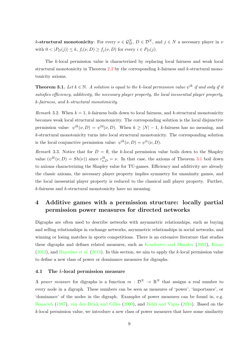k-structural monotonicity: For every  $\nu \in \mathcal{G}_M^N$ ,  $D \in \mathcal{D}^N$ , and  $j \in N$  a necessary player in  $\nu$ with  $0 < |P_D(j)| \le k$ ,  $f_i(\nu, D) \ge f_j(\nu, D)$  for every  $i \in P_D(j)$ .

The k-local permission value is characterized by replacing local fairness and weak local structural monotonicity in Theorem [2.2](#page-6-2) by the corresponding  $k$ -fairness and  $k$ -structural monotonicity axioms.

<span id="page-10-0"></span>**Theorem 3.1.** Let  $k \in \mathbb{N}$ . A solution is equal to the k-local permission value  $\psi^{lk}$  if and only if it satisfies efficiency, additivity, the necessary player property, the local inessential player property, k-fairness, and k-structural monotonicity.

Remark 3.2. When  $k = 1$ , k-fairness boils down to local fairness, and k-structural monotonicity becomes weak local structural monotonicity. The corresponding solution is the local disjunctive permission value:  $\psi^{lk}(\nu, D) = \psi^{ld}(\nu, D)$ . When  $k \geq |N| - 1$ , k-fairness has no meaning, and k-structural monotonicity turns into local structural monotonicity. The corresponding solution is the local conjunctive permission value:  $\psi^{lk}(\nu, D) = \psi^{lc}(\nu, D)$ .

Remark 3.3. Notice that for  $D = \emptyset$ , the k-local permission value boils down to the Shapley value  $(\psi^{lk}(\nu, D) = Sh(\nu))$  since  $r_{\nu, D}^{lk} = \nu$ . In that case, the axioms of Theorem [3.1](#page-10-0) boil down to axioms characterizing the Shapley value for TU-games. Efficiency and additivity are already the classic axioms, the necessary player property implies symmetry for unanimity games, and the local inessential player property is reduced to the classical null player property. Further, k-fairness and k-structural monotonicity have no meaning.

# 4 Additive games with a permission structure: locally partial permission power measures for directed networks

Digraphs are often used to describe networks with asymmetric relationships, such as buying and selling relationships in exchange networks, asymmetric relationships in social networks, and winning or losing matches in sports competitions. There is an extensive literature that studies these digraphs and defines related measures, such as [Kondratev and Mazalov](#page-29-7) [\(2002\)](#page-29-7), [Kinne](#page-29-8)  $(2012)$ , and [Riquelme et al.](#page-29-9)  $(2018)$ . In this section, we aim to apply the k-local permission value to define a new class of power or dominance measures for digraphs.

#### 4.1 The k-local permission measure

A power measure for digraphs is a function  $m: \mathcal{D}^N \to \mathbb{R}^N$  that assigns a real number to every node in a digraph. These numbers can be seen as measures of 'power', 'importance', or 'dominance' of the nodes in the digraph. Examples of power measures can be found in, e.g. [Bonacich](#page-28-1) [\(1987\)](#page-28-1), [van den Brink and Gilles](#page-30-7) [\(2000\)](#page-30-7), and [Boldi and Vigna](#page-28-2) [\(2014\)](#page-28-2). Based on the  $k$ -local permission value, we introduce a new class of power measures that have some similarity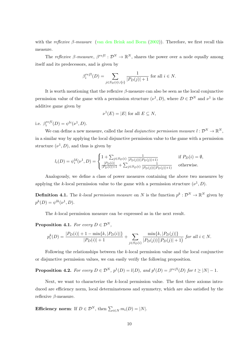with the reflexive  $\beta$ -measure [\(van den Brink and Borm](#page-30-5) [\(2002\)](#page-30-5)). Therefore, we first recall this measure.

The *reflexive*  $\beta$ -measure,  $\beta^{refl} : \mathcal{D}^N \to \mathbb{R}^N$ , shares the power over a node equally among itself and its predecessors, and is given by

$$
\beta_i^{refl}(D) = \sum_{j \in S_D(i) \cup \{i\}} \frac{1}{|P_D(j)| + 1}
$$
 for all  $i \in N$ .

It is worth mentioning that the reflexive  $\beta$ -measure can also be seen as the local conjunctive permission value of the game with a permission structure  $(\nu^1, D)$ , where  $D \in \mathcal{D}^N$  and  $\nu^1$  is the additive game given by

$$
\nu^1(E) = |E| \text{ for all } E \subseteq N,
$$

i.e.  $\beta_i^{refl}$  $i^{refl}(D) = \psi^{lc}(\nu^1, D).$ 

We can define a new measure, called the *local disjunctive permission measure*  $l: \mathcal{D}^N \to \mathbb{R}^N$ , in a similar way by applying the local disjunctive permission value to the game with a permission structure  $(\nu^1, D)$ , and thus is given by

$$
l_i(D) = \psi_i^{ld}(\nu^1, D) = \begin{cases} 1 + \sum_{j \in S_D(i)} \frac{1}{|P_D(j)|(|P_D(j)|+1)} & \text{if } P_D(i) = \emptyset, \\ \frac{|P_D(i)|}{|P_D(i)|+1} + \sum_{j \in S_D(i)} \frac{1}{|P_D(j)|(|P_D(j)|+1)} & \text{otherwise.} \end{cases}
$$

Analogously, we define a class of power measures containing the above two measures by applying the k-local permission value to the game with a permission structure  $(\nu^1, D)$ .

<span id="page-11-1"></span>**Definition 4.1.** The k-local permission measure on N is the function  $p^k: \mathcal{D}^N \to \mathbb{R}^N$  given by  $p^k(D) = \psi^{lk}(\nu^1, D).$ 

The k-local permission measure can be expressed as in the next result.

<span id="page-11-0"></span>**Proposition 4.1.** For every  $D \in \mathcal{D}^N$ ,

$$
p_i^k(D) = \frac{|P_D(i)| + 1 - \min\{k, |P_D(i)|\}}{|P_D(i)| + 1} + \sum_{j \in S_D(i)} \frac{\min\{k, |P_D(j)|\}}{|P_D(j)|(|P_D(j)| + 1)} \text{ for all } i \in N.
$$

Following the relationships between the k-local permission value and the local conjunctive or disjunctive permission values, we can easily verify the following proposition.

**Proposition 4.2.** For every  $D \in \mathcal{D}^N$ ,  $p^1(D) = l(D)$ , and  $p^t(D) = \beta^{refl}(D)$  for  $t \geq |N|-1$ .

Next, we want to characterize the k-local permission value. The first three axioms introduced are efficiency norm, local determinateness and symmetry, which are also satisfied by the reflexive  $\beta$ -measure.

**Efficiency norm:** If  $D \in \mathcal{D}^N$ , then  $\sum_{i \in N} m_i(D) = |N|$ .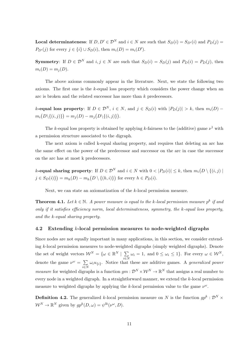**Local determinateness:** If  $D, D' \in \mathcal{D}^N$  and  $i \in N$  are such that  $S_D(i) = S_{D'}(i)$  and  $P_D(j) = S_{D'}(i)$  $P_{D'}(j)$  for every  $j \in \{i\} \cup S_D(i)$ , then  $m_i(D) = m_i(D')$ .

**Symmetry:** If  $D \in \mathcal{D}^N$  and  $i, j \in N$  are such that  $S_D(i) = S_D(j)$  and  $P_D(i) = P_D(j)$ , then  $m_i(D) = m_i(D)$ .

The above axioms commonly appear in the literature. Next, we state the following two axioms. The first one is the k-equal loss property which considers the power change when an arc is broken and the related successor has more than k predecessors.

k-equal loss property: If  $D \in \mathcal{D}^N$ ,  $i \in N$ , and  $j \in S_D(i)$  with  $|P_D(j)| > k$ , then  $m_i(D)$  –  $m_i(D\setminus\{(i,j)\}) = m_j(D) - m_j(D\setminus\{(i,j)\}).$ 

The k-equal loss property is obtained by applying k-fairness to the (additive) game  $\nu^1$  with a permission structure associated to the digraph.

The next axiom is called k-equal sharing property, and requires that deleting an arc has the same effect on the power of the predecessor and successor on the arc in case the successor on the arc has at most k predecessors.

*k*-equal sharing property: If  $D \in \mathcal{D}^N$  and  $i \in N$  with  $0 < |P_D(i)| \leq k$ , then  $m_i(D \setminus \{(i,j)\mid \mathcal{D}^N)$  $j \in S_D(i)$ } $= m_h(D) - m_h(D \setminus \{(h,i)\})$  for every  $h \in P_D(i)$ .

Next, we can state an axiomatization of the k-local permission measure.

<span id="page-12-0"></span>**Theorem 4.1.** Let  $k \in \mathbb{N}$ . A power measure is equal to the k-local permission measure  $p^k$  if and only if it satisfies efficiency norm, local determinateness, symmetry, the  $k$ -equal loss property, and the k-equal sharing property.

#### 4.2 Extending k-local permission measures to node-weighted digraphs

Since nodes are not equally important in many applications, in this section, we consider extending k-local permission measures to node-weighted digraphs (simply weighted digraphs). Denote the set of weight vectors  $\mathcal{W}^N = \{ \omega \in \mathbb{R}^N \mid \sum \}$ i∈N  $\omega_i = 1$ , and  $0 \leq \omega_i \leq 1$ . For every  $\omega \in \mathcal{W}^N$ , denote the game  $\nu^{\omega} = \sum$  $\sum_{i\in\mathbb{N}}\omega_i u_{\{i\}}$ . Notice that these are additive games. A *generalized power measure* for weighted digraphs is a function  $gm: \mathcal{D}^N \times \mathcal{W}^N \to \mathbb{R}^N$  that assigns a real number to every node in a weighted digraph. In a straightforward manner, we extend the k-local permission measure to weighted digraphs by applying the k-local permission value to the game  $\nu^{\omega}$ .

**Definition 4.2.** The generalized k-local permission measure on N is the function  $gp^k : \mathcal{D}^N \times$  $\mathcal{W}^N \to \mathbb{R}^N$  given by  $gp^k(D,\omega) = \psi^{lk}(\nu^\omega, D)$ .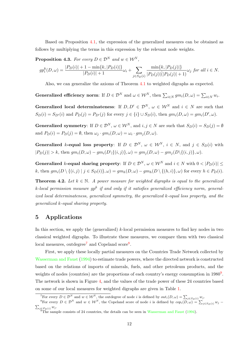Based on Proposition [4.1,](#page-11-0) the expression of the generalized measures can be obtained as follows by multiplying the terms in this expression by the relevant node weights.

**Proposition 4.3.** For every  $D \in \mathcal{D}^N$  and  $w \in \mathcal{W}^N$ ,

$$
gp_i^k(D, \omega) = \frac{|P_D(i)| + 1 - \min\{k, |P_D(i)|\}}{|P_D(i)| + 1} \omega_i + \sum_{j \in S_D(i)} \frac{\min\{k, |P_D(j)|\}}{|P_D(j)|(|P_D(j)| + 1)} \omega_j \text{ for all } i \in N.
$$

Also, we can generalize the axioms of Theorem [4.1](#page-12-0) to weighted digraphs as expected.

Generalized efficiency norm: If  $D \in \mathcal{D}^N$  and  $\omega \in \mathcal{W}^N$ , then  $\sum_{i \in N} g m_i(D, \omega) = \sum_{i \in N} w_i$ .

Generalized local determinateness: If  $D, D' \in \mathcal{D}^N$ ,  $\omega \in \mathcal{W}^N$  and  $i \in N$  are such that  $S_D(i) = S_{D'}(i)$  and  $P_D(j) = P_{D'}(j)$  for every  $j \in \{i\} \cup S_D(i)$ , then  $gm_i(D, \omega) = gm_i(D', \omega)$ .

**Generalized symmetry:** If  $D \in \mathcal{D}^N$ ,  $\omega \in \mathcal{W}^N$ , and  $i, j \in N$  are such that  $S_D(i) = S_D(j) = \emptyset$ and  $P_D(i) = P_D(j) = \emptyset$ , then  $\omega_j \cdot gm_i(D, \omega) = \omega_i \cdot gm_j(D, \omega)$ .

Generalized k-equal loss property: If  $D \in \mathcal{D}^N$ ,  $\omega \in \mathcal{W}^N$ ,  $i \in N$ , and  $j \in S_D(i)$  with  $|P_D(j)| > k$ , then  $qm_i(D,\omega) - qm_i(D)\{(i,j)\},\omega) = qm_i(D,\omega) - qm_i(D)\{(i,j)\},\omega)$ .

Generalized k-equal sharing property: If  $D \in \mathcal{D}^N$ ,  $\omega \in \mathcal{W}^N$  and  $i \in N$  with  $0 < |P_D(i)|$ k, then  $qm_i(D \setminus \{(i,j) \mid j \in S_D(i)\},\omega) = qm_h(D,\omega) - qm_h(D \setminus \{(h,i)\},\omega)$  for every  $h \in P_D(i)$ .

**Theorem 4.2.** Let  $k \in \mathbb{N}$ . A power measure for weighted digraphs is equal to the generalized k-local permission measure  $gp^k$  if and only if it satisfies generalized efficiency norm, generalized local determinateness, generalized symmetry, the generalized k-equal loss property, and the generalized k-equal sharing property.

# 5 Applications

In this section, we apply the (generalized)  $k$ -local permission measures to find key nodes in two classical weighted digraphs. To illustrate these measures, we compare them with two classical local measures, outdegree<sup>[7](#page-13-0)</sup> and Copeland score<sup>[8](#page-13-1)</sup>.

First, we apply these locally partial measures on the Countries Trade Network collected by [Wasserman and Faust](#page-30-8) [\(1994\)](#page-30-8) to estimate trade powers, where the directed network is constructed based on the relations of imports of minerals, fuels, and other petroleum products, and the weights of nodes (countries) are the proportions of each country's energy consumption in 1[9](#page-13-2)80<sup>9</sup>. The network is shown in Figure [4,](#page-15-0) and the values of the trade power of these 24 countries based on some of our local measures for weighted digraphs are given in Table [1.](#page-14-0)

<span id="page-13-1"></span><span id="page-13-0"></span><sup>&</sup>lt;sup>7</sup>For every  $D \in \mathcal{D}^N$  and  $w \in \mathcal{W}^N$ , the outdegree of node i is defined by  $out_i(D, \omega) = \sum_{j \in S_D(i)} w_j$ .

<sup>&</sup>lt;sup>8</sup>For every  $D \in \mathcal{D}^N$  and  $w \in \mathcal{W}^N$ , the Copeland score of node *i* is defined by  $cop_i(D, \omega) = \sum_{j \in S_D(i)} w_j - \sum_{j \in S_D(i)} w_j$ .  $\sum_{j\in P_D(i)} w_j$ .

<span id="page-13-2"></span>The sample consists of 24 countries, the details can be seen in [Wasserman and Faust](#page-30-8) [\(1994\)](#page-30-8).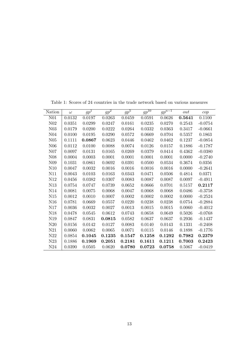| Nation          | $\omega$ | $gp^1$ | $g p^2$ | $gp^5$ | $gp^{10}$ | $gp^{n-1}$ | out        | cop       |
|-----------------|----------|--------|---------|--------|-----------|------------|------------|-----------|
| N <sub>01</sub> | 0.0132   | 0.0197 | 0.0263  | 0.0459 | 0.0591    | 0.0626     | 0.5641     | 0.1100    |
| N <sub>02</sub> | 0.0351   | 0.0299 | 0.0247  | 0.0161 | 0.0235    | 0.0270     | 0.2543     | $-0.0754$ |
| N <sub>03</sub> | 0.0179   | 0.0200 | 0.0222  | 0.0264 | 0.0332    | 0.0363     | 0.3417     | $-0.0661$ |
| ${\it N04}$     | 0.0100   | 0.0195 | 0.0290  | 0.0572 | 0.0669    | 0.0704     | 0.5357     | 0.1863    |
| N05             | 0.1111   | 0.0867 | 0.0623  | 0.0446 | 0.0462    | 0.0462     | 0.1237     | $-0.0854$ |
| N06             | 0.0112   | 0.0100 | 0.0088  | 0.0074 | 0.0126    | 0.0157     | 0.1886     | $-0.1787$ |
| N07             | 0.0097   | 0.0131 | 0.0165  | 0.0269 | 0.0379    | 0.0414     | 0.4362     | $-0.0380$ |
| N <sub>08</sub> | 0.0004   | 0.0003 | 0.0001  | 0.0001 | 0.0001    | 0.0001     | 0.0000     | $-0.2740$ |
| N <sub>09</sub> | 0.1031   | 0.0861 | 0.0692  | 0.0391 | 0.0500    | 0.0534     | 0.3674     | 0.0356    |
| N10             | 0.0047   | 0.0032 | 0.0016  | 0.0016 | 0.0016    | 0.0016     | 0.0000     | $-0.2641$ |
| N11             | 0.0043   | 0.0103 | 0.0163  | 0.0343 | 0.0471    | 0.0506     | 0.4814     | 0.0371    |
| N12             | 0.0456   | 0.0382 | 0.0307  | 0.0083 | 0.0087    | 0.0087     | 0.0097     | $-0.4911$ |
| N13             | 0.0754   | 0.0747 | 0.0739  | 0.0652 | 0.0666    | 0.0701     | $0.5157\,$ | 0.2117    |
| N14             | 0.0081   | 0.0075 | 0.0068  | 0.0047 | 0.0068    | 0.0068     | 0.0486     | $-0.3758$ |
| N15             | 0.0012   | 0.0010 | 0.0007  | 0.0002 | 0.0002    | 0.0002     | 0.0000     | $-0.2524$ |
| N16             | 0.0781   | 0.0669 | 0.0557  | 0.0220 | 0.0238    | 0.0238     | 0.0754     | $-0.2884$ |
| N17             | 0.0036   | 0.0032 | 0.0027  | 0.0013 | 0.0015    | 0.0015     | 0.0060     | $-0.4012$ |
| N18             | 0.0478   | 0.0545 | 0.0612  | 0.0743 | 0.0658    | 0.0649     | 0.5026     | $-0.0768$ |
| N19             | 0.0847   | 0.0831 | 0.0815  | 0.0582 | 0.0637    | 0.0637     | 0.2936     | $-0.1437$ |
| N20             | 0.0156   | 0.0142 | 0.0127  | 0.0083 | 0.0140    | 0.0143     | 0.1331     | $-0.2408$ |
| N21             | 0.0060   | 0.0062 | 0.0065  | 0.0071 | 0.0115    | 0.0146     | 0.1898     | $-0.1776$ |
| $\rm N22$       | 0.0854   | 0.1045 | 0.1235  | 0.1547 | 0.1258    | 0.1292     | 0.7982     | 0.2379    |
| N23             | 0.1886   | 0.1969 | 0.2051  | 0.2181 | 0.1611    | 0.1211     | 0.7003     | 0.2423    |
| N24             | 0.0390   | 0.0505 | 0.0620  | 0.0780 | 0.0723    | 0.0758     | 0.5067     | $-0.0419$ |

<span id="page-14-0"></span>Table 1: Scores of 24 countries in the trade network based on various measures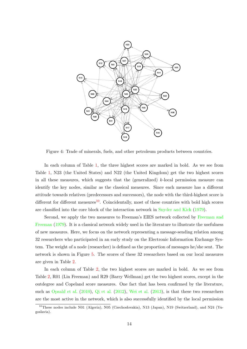

<span id="page-15-0"></span>Figure 4: Trade of minerals, fuels, and other petroleum products between countries.

In each column of Table [1,](#page-14-0) the three highest scores are marked in bold. As we see from Table [1,](#page-14-0) N23 (the United States) and N22 (the United Kingdom) get the two highest scores in all these measures, which suggests that the (generalized)  $k$ -local permission measure can identify the key nodes, similar as the classical measures. Since each measure has a different attitude towards relatives (predecessors and successors), the node with the third-highest score is different for different measures<sup>[10](#page-15-1)</sup>. Coincidentally, most of these countries with bold high scores are classified into the core block of the interaction network in [Snyder and Kick](#page-30-9) [\(1979\)](#page-30-9).

Second, we apply the two measures to Freeman's EIES network collected by [Freeman and](#page-29-10) [Freeman](#page-29-10) [\(1979\)](#page-29-10). It is a classical network widely used in the literature to illustrate the usefulness of new measures. Here, we focus on the network representing a message-sending relation among 32 researchers who participated in an early study on the Electronic Information Exchange System. The weight of a node (researcher) is defined as the proportion of messages he/she sent. The network is shown in Figure [5.](#page-17-0) The scores of these 32 researchers based on our local measures are given in Table [2.](#page-16-0)

In each column of Table [2,](#page-16-0) the two highest scores are marked in bold. As we see from Table [2,](#page-16-0) R01 (Lin Freeman) and R29 (Barry Wellman) get the two highest scores, except in the outdegree and Copeland score measures. One fact that has been confirmed by the literature, such as [Opsahl et al.](#page-29-11) [\(2010\)](#page-29-11), [Qi et al.](#page-29-12) [\(2012\)](#page-29-12), [Wei et al.](#page-30-10) [\(2013\)](#page-30-10), is that these two researchers are the most active in the network, which is also successfully identified by the local permission

<span id="page-15-1"></span><sup>&</sup>lt;sup>10</sup>These nodes include N01 (Algeria), N05 (Czechoslovakia), N13 (Japan), N19 (Switzerland), and N24 (Yugoslavia).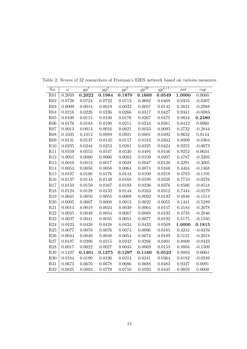| No.             | $\omega$ | $gp^{\bar{1}}$ | $gp^2$       | $\mathit{gp}^5$ | $gp^{10}$  | $gp^{n-\overline{1}}$ | out        | cop       |
|-----------------|----------|----------------|--------------|-----------------|------------|-----------------------|------------|-----------|
| R01             | 0.2059   | 0.2022         | 0.1984       | 0.1870          | 0.1669     | 0.0549                | 1.0000     | 0.0060    |
| R02             | 0.0726   | 0.0724         | 0.0722       | $0.0715\,$      | 0.0692     | 0.0469                | 0.9355     | $-0.0307$ |
| R03             | 0.0009   | 0.0014         | 0.0019       | 0.0033          | 0.0057     | 0.0142                | 0.3821     | $-0.2988$ |
| R04             | 0.0216   | 0.0226         | 0.0236       | 0.0266          | 0.0317     | 0.0427                | 0.9341     | $-0.0083$ |
| R05             | 0.0100   | 0.0115         | 0.0130       | 0.0176          | 0.0267     | 0.0475                | 0.9834     | 0.2480    |
| R06             | 0.0176   | 0.0183         | 0.0190       | 0.0211          | 0.0244     | 0.0381                | 0.8412     | 0.0960    |
| R07             | 0.0013   | 0.0014         | 0.0016       | 0.0021          | 0.0033     | 0.0093                | 0.2732     | $-0.2844$ |
| R <sub>08</sub> | 0.1035   | 0.1012         | 0.0989       | 0.0921          | 0.0801     | 0.0492                | 0.9632     | 0.0144    |
| R <sub>09</sub> | 0.0131   | 0.0137         | $\,0.0142\,$ | 0.0157          | 0.0182     | $\,0.0342\,$          | 0.8009     | $-0.0364$ |
| R10             | 0.0235   | 0.0244         | 0.0253       | $\,0.0281\,$    | 0.0325     | 0.0424                | 0.9255     | $-0.0073$ |
| R11             | 0.0559   | $0.0553\,$     | 0.0547       | 0.0530          | 0.0494     | 0.0446                | 0.9252     | 0.0034    |
| R12             | 0.0055   | 0.0060         | 0.0066       | 0.0082          | 0.0109     | 0.0207                | 0.4787     | $-0.3303$ |
| R13             | 0.0010   | 0.0013         | 0.0017       | 0.0028          | 0.0047     | 0.0120                | 0.3291     | $-0.3005$ |
| R14             | 0.0054   | 0.0056         | 0.0058       | 0.0064          | 0.0074     | $0.0166\,$            | 0.4404     | $-0.1468$ |
| R15             | 0.0197   | 0.0186         | 0.0176       | 0.0144          | 0.0109     | 0.0210                | 0.4783     | $-0.1195$ |
| R16             | 0.0137   | 0.0143         | 0.0149       | 0.0168          | 0.0198     | 0.0328                | 0.7710     | $-0.0276$ |
| R17             | 0.0150   | 0.0159         | 0.0167       | 0.0193          | 0.0236     | 0.0376                | 0.8586     | $-0.0518$ |
| R <sub>18</sub> | 0.0124   | 0.0128         | 0.0132       | 0.0144          | 0.0163     | 0.0312                | $0.7444\,$ | $-0.0279$ |
| R <sub>19</sub> | 0.0045   | 0.0050         | 0.0055       | 0.0069          | 0.0092     | 0.0192                | 0.4846     | $-0.1514$ |
| R20             | 0.0005   | 0.0007         | 0.0008       | $0.0013\,$      | 0.0022     | 0.0055                | 0.1441     | $-0.5289$ |
| R21             | 0.0014   | 0.0019         | 0.0024       | 0.0039          | 0.0064     | 0.0157                | 0.4183     | $-0.2078$ |
| R22             | 0.0045   | 0.0049         | $0.0054\,$   | 0.0067          | 0.0088     | 0.0193                | 0.4735     | $-0.2846$ |
| R23             | 0.0037   | 0.0041         | 0.0045       | 0.0055          | 0.0077     | 0.0192                | 0.5175     | $-0.1550$ |
| R24             | 0.0423   | 0.0426         | 0.0428       | 0.0434          | 0.0433     | 0.0509                | 1.0000     | 0.1815    |
| R25             | 0.0077   | 0.0076         | 0.0076       | 0.0074          | $0.0096\,$ | 0.0185                | 0.4241     | $-0.0376$ |
| R26             | 0.0044   | 0.0046         | 0.0048       | $0.0054\,$      | 0.0074     | 0.0189                | 0.5121     | $-0.2018$ |
| R27             | 0.0197   | 0.0206         | 0.0215       | 0.0242          | 0.0286     | 0.0401                | 0.8809     | $-0.0433$ |
| R28             | 0.0017   | 0.0022         | 0.0027       | 0.0043          | 0.0069     | 0.0153                | 0.3804     | $-0.1509$ |
| R29             | 0.1427   | 0.1401         | 0.1375       | 0.1297          | 0.1160     | 0.0523                | 0.9893     | 0.0064    |
| R30             | 0.0184   | 0.0190         | 0.0196       | 0.0214          | 0.0241     | 0.0364                | 0.8182     | $-0.0249$ |
| R31             | 0.0673   | 0.0676         | 0.0678       | 0.0686          | 0.0688     | 0.0483                | 0.9327     | 0.0091    |
| <b>R32</b>      | 0.0825   | 0.0802         | 0.0779       | 0.0710          | 0.0593     | 0.0445                | 0.9059     | 0.0000    |

<span id="page-16-0"></span>Table 2: Scores of 32 researchers of Freeman's EIES network based on various measures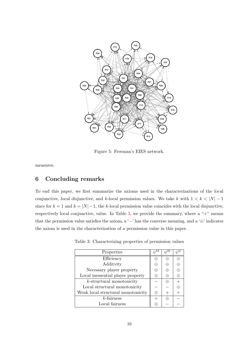

<span id="page-17-0"></span>Figure 5: Freeman's EIES network.

measures.

# 6 Concluding remarks

To end this paper, we first summarize the axioms used in the characterizations of the local conjunctive, local disjunctive, and k-local permission values. We take k with  $1 < k < |N| - 1$ since for  $k = 1$  and  $k = |N|-1$ , the k-local permission value coincides with the local disjunctive, respectively local conjunctive, value. In Table [3,](#page-17-1) we provide the summary, where a " $+$ " means that the permission value satisfies the axiom, a '−' has the converse meaning, and a '⊕' indicates the axiom is used in the characterization of a permission value in this paper.

| Properties                         |   |  |
|------------------------------------|---|--|
| Efficiency                         |   |  |
| Additvity                          | ⊕ |  |
| Necessary player property          | ⊕ |  |
| Local inessential player property  | ⊕ |  |
| $k$ -structural monotonicity       |   |  |
| Local structural monotonicity      |   |  |
| Weak local structural monotonicity | ⊕ |  |
| $k$ -fairness                      |   |  |
| Local fairness                     |   |  |

<span id="page-17-1"></span>Table 3: Characterizing properties of permission values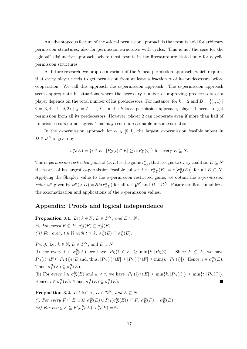An advantageous feature of the k-local permission approach is that results hold for arbitrary permission structures, also for permission structures with cycles. This is not the case for the "global" disjunctive approach, where most results in the literature are stated only for acyclic permission structures.

As future research, we propose a variant of the k-local permission approach, which requires that every player needs to get permission from at least a fraction  $\alpha$  of its predecessors before cooperation. We call this approach the  $\alpha$ -permission approach. The  $\alpha$ -permission approach seems appropriate in situations where the necessary number of approving predecessors of a player depends on the total number of his predecessors. For instance, for  $k = 2$  and  $D = \{(i, 1) \mid$  $i = 3, 4$   $\cup$   $\{(j, 2) \mid j = 5, \ldots, 9\}$ , in the k-local permission approach, player 1 needs to get permission from all its predecessors. However, player 2 can cooperate even if more than half of its predecessors do not agree. This may seem unreasonable in some situations.

In the  $\alpha$ -permission approach for  $\alpha \in [0,1]$ , the largest  $\alpha$ -permission feasible subset in  $D \in \mathcal{D}^N$  is given by

$$
\sigma_D^{\alpha}(E)=\{i\in E\mid |P_D(i)\cap E|\geq \alpha|P_D(i)|\} \text{ for every } E\subseteq N,
$$

The  $\alpha$ -permission restricted game of  $(\nu, D)$  is the game  $r^{\alpha}_{\nu, D}$  that assigns to every coalition  $E \subseteq N$ the worth of its largest  $\alpha$ -permission feasible subset, i.e.  $r^{\alpha}_{\nu,D}(E) = \nu(\sigma^{\alpha}_{D}(E))$  for all  $E \subseteq N$ . Applying the Shapley value to the  $\alpha$ -permission restricted game, we obtain the  $\alpha$ -permission value  $\psi^{\alpha}$  given by  $\psi^{\alpha}(\nu, D) = Sh(r^{\alpha}_{\nu, D})$  for all  $\nu \in \mathcal{G}^{N}$  and  $D \in \mathcal{D}^{N}$ . Future studies can address the axiomatization and applications of the  $\alpha$ -permission values.

# Appendix: Proofs and logical independence

**Proposition 3.1.** Let  $k \in \mathbb{N}$ ,  $D \in \mathcal{D}^N$ , and  $E \subseteq N$ . (i) For every  $F \subseteq E$ ,  $\sigma_D^{lk}(F) \subseteq \sigma_D^{lk}(E)$ . (ii) For every  $t \in \mathbb{N}$  with  $t \leq k$ ,  $\sigma_D^{lk}(E) \subseteq \sigma_D^{lt}(E)$ .

*Proof.* Let  $k \in \mathbb{N}$ ,  $D \in \mathcal{D}^N$ , and  $E \subseteq N$ .

(i) For every  $i \in \sigma_D^{lk}(F)$ , we have  $|P_D(i) \cap F| \ge \min\{k, |P_D(i)|\}$ . Since  $F \subseteq E$ , we have  $P_D(i) \cap F \subseteq P_D(i) \cap E$  and, thus,  $|P_D(i) \cap E| \geq |P_D(i) \cap F| \geq \min\{k, |P_D(i)|\}$ . Hence,  $i \in \sigma_D^{lk}(E)$ . Thus,  $\sigma_D^{lk}(F) \subseteq \sigma_D^{lk}(E)$ .

(ii) For every  $i \in \sigma_D^{lk}(E)$  and  $k \ge t$ , we have  $|P_D(i) \cap E| \ge \min\{k, |P_D(i)|\} \ge \min\{t, |P_D(i)|\}.$ Hence,  $i \in \sigma_D^{lt}(E)$ . Thus,  $\sigma_D^{lk}(E) \subseteq \sigma_L^{lt}$  $_{D}^{lt}(E).$ 

**Proposition 3.2.** Let  $k \in \mathbb{N}$ ,  $D \in \mathcal{D}^N$ , and  $E \subseteq N$ . (i) For every  $F \subseteq E$  with  $\sigma_D^{lk}(E) \cup P_D(\sigma_D^{lk}(E)) \subseteq F$ ,  $\sigma_D^{lk}(F) = \sigma_D^{lk}(E)$ . (*ii*) For every  $F \subseteq E \setminus \sigma_D^{lk}(E)$ ,  $\sigma_D^{lk}(F) = \emptyset$ .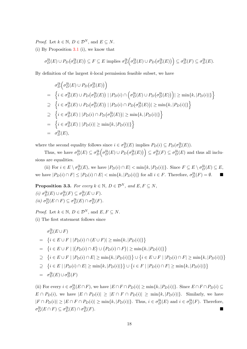*Proof.* Let  $k \in \mathbb{N}$ ,  $D \in \mathcal{D}^N$ , and  $E \subseteq N$ .

(i) By Proposition [3.1](#page-7-3) (i), we know that

$$
\sigma_D^{lk}(E) \cup P_D(\sigma_D^{lk}(E)) \subseteq F \subseteq E \text{ implies } \sigma_D^{lk}(\sigma_D^{lk}(E) \cup P_D(\sigma_D^{lk}(E)) \subseteq \sigma_D^{lk}(F) \subseteq \sigma_D^{lk}(E).
$$

By definition of the largest  $k$ -local permission feasible subset, we have

$$
\sigma_D^{lk}\left(\sigma_D^{lk}(E) \cup P_D(\sigma_D^{lk}(E))\right)
$$
\n
$$
= \left\{ i \in \sigma_D^{lk}(E) \cup P_D(\sigma_D^{lk}(E)) \mid |P_D(i) \cap \left(\sigma_D^{lk}(E) \cup P_D(\sigma_D^{lk}(E))\right)| \ge \min\{k, |P_D(i)|\}\right\}
$$
\n
$$
\supseteq \left\{ i \in \sigma_D^{lk}(E) \cup P_D(\sigma_D^{lk}(E)) \mid |P_D(i) \cap P_D(\sigma_D^{lk}(E))| \ge \min\{k, |P_D(i)|\}\right\}
$$
\n
$$
\supseteq \left\{ i \in \sigma_D^{lk}(E) \mid |P_D(i) \cap P_D(\sigma_D^{lk}(E))| \ge \min\{k, |P_D(i)|\}\right\}
$$
\n
$$
= \left\{ i \in \sigma_D^{lk}(E) \mid |P_D(i)| \ge \min\{k, |P_D(i)|\}\right\}
$$
\n
$$
= \sigma_D^{lk}(E),
$$

where the second equality follows since  $i \in \sigma_D^{lk}(E)$  implies  $P_D(i) \subseteq P_D(\sigma_D^{lk}(E))$ .

Thus, we have  $\sigma_D^{lk}(E) \subseteq \sigma_D^{lk}(\sigma_D^{lk}(E) \cup P_D(\sigma_D^{lk}(E)) \subseteq \sigma_D^{lk}(F) \subseteq \sigma_D^{lk}(E)$  and thus all inclusions are equalities.

(ii) For  $i \in E \setminus \sigma_D^{lk}(E)$ , we have  $|P_D(i) \cap E| < \min\{k, |P_D(i)|\}$ . Since  $F \subseteq E \setminus \sigma_D^{lk}(E) \subseteq E$ , we have  $|P_D(i) \cap F| \leq |P_D(i) \cap E| < \min\{k, |P_D(i)|\}$  for all  $i \in F$ . Therefore,  $\sigma_D^{lk}(F) = \emptyset$ .

**Proposition 3.3.** For every  $k \in \mathbb{N}$ ,  $D \in \mathcal{D}^N$ , and  $E, F \subseteq N$ , (i)  $\sigma_D^{lk}(E) \cup \sigma_D^{lk}(F) \subseteq \sigma_D^{lk}(E \cup F)$ . (*ii*)  $\sigma_D^{lk}(E \cap F) \subseteq \sigma_D^{lk}(E) \cap \sigma_D^{lk}(F)$ .

*Proof.* Let  $k \in \mathbb{N}$ ,  $D \in \mathcal{D}^N$ , and  $E, F \subseteq N$ .

(i) The first statement follows since

$$
\sigma_D^{lk}(E \cup F)
$$
\n
$$
= \{i \in E \cup F \mid |P_D(i) \cap (E \cup F)| \ge \min\{k, |P_D(i)|\}\}
$$
\n
$$
= \{i \in E \cup F \mid |(P_D(i) \cap E) \cup (P_D(i) \cap F)| \ge \min\{k, |P_D(i)|\}\}
$$
\n
$$
\ge \{i \in E \cup F \mid |P_D(i) \cap E| \ge \min\{k, |P_D(i)|\}\} \cup \{i \in E \cup F \mid |P_D(i) \cap F| \ge \min\{k, |P_D(i)|\}\}
$$
\n
$$
\ge \{i \in E \mid |P_D(i) \cap E| \ge \min\{k, |P_D(i)|\}\} \cup \{i \in F \mid |P_D(i) \cap F| \ge \min\{k, |P_D(i)|\}\}
$$
\n
$$
= \sigma_D^{lk}(E) \cup \sigma_D^{lk}(F)
$$

(ii) For every  $i \in \sigma_D^{lk}(E \cap F)$ , we have  $|E \cap F \cap P_D(i)| \ge \min\{k, |P_D(i)|\}$ . Since  $E \cap F \cap P_D(i) \subseteq$  $E \cap P_D(i)$ , we have  $|E \cap P_D(i)| \geq |E \cap F \cap P_D(i)| \geq \min\{k, |P_D(i)|\}$ . Similarly, we have  $|F \cap P_D(i)| \geq |E \cap F \cap P_D(i)| \geq \min\{k, |P_D(i)|\}.$  Thus,  $i \in \sigma_D^{lk}(E)$  and  $i \in \sigma_D^{lk}(F)$ . Therefore,  $\sigma_D^{lk}(E \cap F) \subseteq \sigma_D^{lk}(E) \cap \sigma_D^{lk}$  $\binom{lk}{D}(F)$ .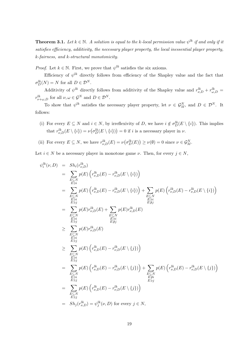**Theorem 3.1.** Let  $k \in \mathbb{N}$ . A solution is equal to the k-local permission value  $\psi^{lk}$  if and only if it satisfies efficiency, additivity, the necessary player property, the local inessential player property, k-fairness, and k-structural monotonicity.

*Proof.* Let  $k \in \mathbb{N}$ . First, we prove that  $\psi^{lk}$  satisfies the six axioms.

Efficiency of  $\psi^{lk}$  directly follows from efficiency of the Shapley value and the fact that  $\sigma_D^{lk}(N) = N$  for all  $D \in \mathcal{D}^N$ .

Additivity of  $\psi^{lk}$  directly follows from additivity of the Shapley value and  $r_{\nu,D}^{lk} + r_{\omega,D}^{lk} =$  $r_{\nu+\omega,D}^{lk}$  for all  $\nu,\omega\in\mathcal{G}^N$  and  $D\in\mathcal{D}^N$ .

To show that  $\psi^{lk}$  satisfies the necessary player property, let  $\nu \in \mathcal{G}_M^N$ , and  $D \in \mathcal{D}^N$ . It follows:

- (i) For every  $E \subseteq N$  and  $i \in N$ , by irreflexivity of D, we have  $i \notin \sigma_D^{lk}(E \setminus \{i\})$ . This implies that  $r_{\nu,D}^{lk}(E \setminus \{i\}) = \nu(\sigma_D^{lk}(E \setminus \{i\})) = 0$  if i is a necessary player in  $\nu$ .
- (ii) For every  $E \subseteq N$ , we have  $r_{\nu,D}^{lk}(E) = \nu(\sigma_D^{lk}(E)) \ge \nu(\emptyset) = 0$  since  $\nu \in \mathcal{G}_M^N$ .

Let  $i \in N$  be a necessary player in monotone game  $\nu$ . Then, for every  $j \in N$ ,

$$
\psi_{i}^{lk}(\nu, D) = Sh_{i}(r_{\nu,D}^{lk})
$$
\n
$$
= \sum_{\substack{E \subseteq N \\ E \subseteq N}} p(E) \left( r_{\nu,D}^{lk}(E) - r_{\nu,D}^{lk}(E \setminus \{i\}) \right)
$$
\n
$$
= \sum_{\substack{E \subseteq N \\ E \ni i \\ E \ni i \\ E \ni i \\ E \ni i}} p(E) \left( r_{\nu,D}^{lk}(E) - r_{\nu,D}^{lk}(E \setminus \{i\}) \right) + \sum_{\substack{E \subseteq N \\ E \ni i \\ E \ni i \\ E \ni i \\ E \ni i \\ E \ni i \\ E \ni i}} p(E) r_{\nu,D}^{lk}(E) + \sum_{\substack{E \subseteq N \\ E \ni i \\ E \ni i \\ E \ni i \\ E \ni i \\ E \ni i \\ E \ni i}} p(E) r_{\nu,D}^{lk}(E)
$$
\n
$$
\geq \sum_{\substack{E \subseteq N \\ E \subseteq N \\ E \ni i \\ E \ni i \\ E \ni i \\ E \ni i \\ E \ni i}} p(E) \left( r_{\nu,D}^{lk}(E) - r_{\nu,D}^{lk}(E \setminus \{j\}) \right)
$$
\n
$$
= \sum_{\substack{E \subseteq N \\ E \ni i \\ E \ni i \\ E \ni i \\ E \ni i \\ E \ni i}} p(E) \left( r_{\nu,D}^{lk}(E) - r_{\nu,D}^{lk}(E \setminus \{j\}) \right) + \sum_{\substack{E \subseteq N \\ E \ni i \\ E \ni i \\ E \ni i \\ E \ni i \\ E \ni i \\ E \ni i}} p(E) \left( r_{\nu,D}^{lk}(E) - r_{\nu,D}^{lk}(E \setminus \{j\}) \right)
$$
\n
$$
= Sh_{j}(r_{\nu,D}^{lk}) = \psi_{j}^{lk}(\nu, D) \text{ for every } j \in N,
$$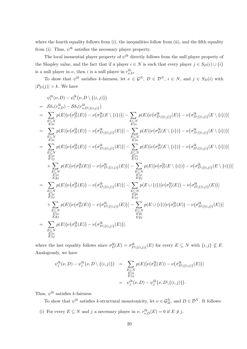where the fourth equality follows from (i), the inequalities follow from (ii), and the fifth equality from (i). Thus,  $\psi^{lk}$  satisfies the necessary player property.

The local inessential player property of  $\psi^{lk}$  directly follows from the null player property of the Shapley value, and the fact that if a player  $i \in N$  is such that every player  $j \in S_D(i) \cup \{i\}$ is a null player in  $\nu$ , then *i* is a null player in  $r_{\nu,D}^{lk}$ .

To show that  $\psi^{lk}$  satisfies k-fairness, let  $\nu \in \mathcal{G}^N$ ,  $D \in \mathcal{D}^N$ ,  $i \in N$ , and  $j \in S_D(i)$  with  $|P_D(j)| > k$ . We have

$$
\psi_{i}^{lk}(\nu, D) - \psi_{i}^{lk}(\nu, D \setminus \{(i, j)\})
$$
\n
$$
= Sh_{i}(r_{\nu,D}^{lk}) - Sh_{i}(r_{\nu,D \setminus \{(i, j)\}}^{lk})
$$
\n
$$
= \sum_{\substack{E \subseteq N \\ E \ni i}} p(E)[\nu(\sigma_{D}^{lk}(E)) - \nu(\sigma_{D \setminus \{(i, j)\}}^{lk}(E) \setminus \{i\}))] - \sum_{\substack{E \subseteq N \\ E \ni i}} p(E)[\nu(\sigma_{D}^{lk}(E)) - \nu(\sigma_{D \setminus \{(i, j)\}}^{lk}(E))] - \sum_{\substack{E \subseteq N \\ E \ni i}} p(E)[\nu(\sigma_{D}^{lk}(E)) - \nu(\sigma_{D \setminus \{(i, j)\}}^{lk}(E))] - \sum_{\substack{E \subseteq N \\ E \ni i}} p(E)[\nu(\sigma_{D}^{lk}(E)) - \nu(\sigma_{D \setminus \{(i, j)\}}^{lk}(E))] - \sum_{\substack{E \subseteq N \\ E \ni i}} p(E)[\nu(\sigma_{D}^{lk}(E)) - \nu(\sigma_{D \setminus \{(i, j)\}}^{lk}(E))] - \sum_{\substack{E \subseteq N \\ E \ni i}} p(E)[\nu(\sigma_{D}^{lk}(E)) - \nu(\sigma_{D \setminus \{(i, j)\}}^{lk}(E))] - \sum_{\substack{E \subseteq N \\ E \ni i}} p(E)[\nu(\sigma_{D}^{lk}(E)) - \nu(\sigma_{D \setminus \{(i, j)\}}^{lk}(E))] - \sum_{\substack{E \subseteq N \\ E \ni i}} p(E)[\nu(\sigma_{D}^{lk}(E)) - \nu(\sigma_{D \setminus \{(i, j)\}}^{lk}(E))] - \sum_{\substack{E \subseteq N \\ E \ni i}} p(E)[\nu(\sigma_{D}^{lk}(E)) - \nu(\sigma_{D \setminus \{(i, j)\}}^{lk}(E))] - \sum_{\substack{E \subseteq N \\ E \ni i}} p(E)[\nu(\sigma_{D}^{lk}(E)) - \nu(\sigma_{D \setminus \{(i, j)\}}^{lk}(E))] - \sum_{\substack{E \subseteq N \\ E \ni i}} p(E)[\nu(\sigma_{D}^{lk}(E)) - \nu(\sigma_{D \setminus \{(i, j)\}}^{lk}(E))] - \sum_{\substack{E \subseteq N \\ E \ni i}} p(E)[\nu(\sigma_{D}^{lk}(E)) - \nu(\sigma_{D \setminus
$$

where the last equality follows since  $\sigma_D^{lk}(E) = \sigma_{D\setminus\{(i,j)\}}^{lk}(E)$  for every  $E \subseteq N$  with  $\{i,j\} \nsubseteq E$ . Analogously, we have

$$
\psi_j^{lk}(\nu, D) - \psi_j^{lk}(\nu, D \setminus \{(i, j)\}) = \sum_{\substack{E \subseteq N \\ E \ni i \\ E \ni j}} p(E) [\nu(\sigma_D^{lk}(E)) - \nu(\sigma_{D \setminus \{(i, j)\}}^{lk}(E))]
$$

$$
= \psi_j^{lk}(\nu, D) - \psi_j^{lk}(\nu, D \setminus \{(i, j)\}).
$$

Thus,  $\psi^{lk}$  satisfies k-fairness.

To show that  $\psi^{lk}$  satisfies k-structural monotonicity, let  $\nu \in \mathcal{G}_M^N$ , and  $D \in \mathcal{D}^N$ . It follows: (i) For every  $E \subseteq N$  and j a necessary player in  $\nu$ ,  $r_{\nu,D}^{lk}(E) = 0$  if  $E \not\ni j$ .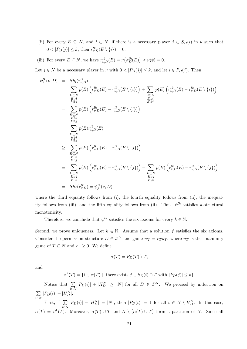(ii) For every  $E \subseteq N$ , and  $i \in N$ , if there is a necessary player  $j \in S_D(i)$  in  $\nu$  such that  $0 < |P_D(j)| \le k$ , then  $r_{\nu,D}^{lk}(E \setminus \{i\}) = 0$ .

(iii) For every  $E \subseteq N$ , we have  $r_{\nu,D}^{lk}(E) = \nu(\sigma_D^{lk}(E)) \ge \nu(\emptyset) = 0$ .

Let  $j \in N$  be a necessary player in  $\nu$  with  $0 < |P_D(j)| \leq k$ , and let  $i \in P_D(j)$ . Then,

$$
\psi_i^{lk}(\nu, D) = Sh_i(r_{\nu,D}^{lk})
$$
\n
$$
= \sum_{\substack{E \subseteq N \\ E \ni i \\ E \ni i \\ E \ni i \\ E \ni i}} p(E) \left( r_{\nu,D}^{lk}(E) - r_{\nu,D}^{lk}(E \setminus \{i\}) \right) + \sum_{\substack{E \subseteq N \\ E \ni i \\ E \ni i \\ E \ni i \\ E \ni i \\ E \ni i \\ E \ni i \\ E \ni i}} p(E) \left( r_{\nu,D}^{lk}(E) - r_{\nu,D}^{lk}(E \setminus \{i\}) \right)
$$
\n
$$
= \sum_{\substack{E \subseteq N \\ E \ni i \\ E \ni i \\ E \ni i \\ E \ni i \\ E \ni i}} p(E) \left( r_{\nu,D}^{lk}(E) - r_{\nu,D}^{lk}(E \setminus \{j\}) \right)
$$
\n
$$
= \sum_{\substack{E \subseteq N \\ E \ni i \\ E \ni i \\ E \ni i \\ E \ni i}} p(E) \left( r_{\nu,D}^{lk}(E) - r_{\nu,D}^{lk}(E \setminus \{j\}) \right) + \sum_{\substack{E \subseteq N \\ E \subseteq N \\ E \ni i \\ E \ni i \\ E \ni i}} p(E) \left( r_{\nu,D}^{lk}(E) - r_{\nu,D}^{lk}(E \setminus \{j\}) \right) + \sum_{\substack{E \subseteq N \\ E \ni i \\ E \ni i \\ E \ni i}} p(E) \left( r_{\nu,D}^{lk}(E) - r_{\nu,D}^{lk}(E \setminus \{j\}) \right)
$$

where the third equality follows from (i), the fourth equality follows from (ii), the inequality follows from (iii), and the fifth equality follows from (ii). Thus,  $\psi^{lk}$  satisfies k-structural monotonicity.

Therefore, we conclude that  $\psi^{lk}$  satisfies the six axioms for every  $k \in \mathbb{N}$ .

Second, we prove uniqueness. Let  $k \in \mathbb{N}$ . Assume that a solution f satisfies the six axioms. Consider the permission structure  $D \in \mathcal{D}^N$  and game  $w_T = c_T u_T$ , where  $u_T$  is the unanimity game of  $T \subseteq N$  and  $c_T \geq 0$ . We define

$$
\alpha(T) = P_D(T) \setminus T,
$$

and

$$
\beta^{k}(T) = \{ i \in \alpha(T) \mid \text{ there exists } j \in S_D(i) \cap T \text{ with } |P_D(j)| \le k \}.
$$

Notice that  $\Sigma$ i∈N  $|P_D(i)| + |H_D^N| \ge |N|$  for all  $D \in \mathcal{D}^N$ . We proceed by induction on  $\sum$  $|P_D(i)| + |H_D^N|.$ 

i∈N First, if  $\Sigma$ i∈N  $|P_D(i)| + |H_D^N| = |N|$ , then  $|P_D(i)| = 1$  for all  $i \in N \setminus H_D^N$ . In this case,  $\alpha(T) = \beta^{k}(T)$ . Moreover,  $\alpha(T) \cup T$  and  $N \setminus (\alpha(T) \cup T)$  form a partition of N. Since all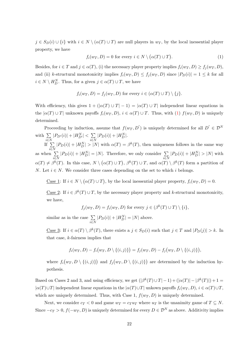$j \in S_D(i) \cup \{i\}$  with  $i \in N \setminus (\alpha(T) \cup T)$  are null players in  $w_T$ , by the local inessential player property, we have

<span id="page-23-0"></span>
$$
f_i(w_T, D) = 0 \text{ for every } i \in N \setminus (\alpha(T) \cup T). \tag{1}
$$

Besides, for  $i \in T$  and  $j \in \alpha(T)$ , (i) the necessary player property implies  $f_i(w_T, D) \ge f_i(w_T, D)$ , and (ii) k-structural monotonicity implies  $f_i(w_T, D) \leq f_j(w_T, D)$  since  $|P_D(i)| = 1 \leq k$  for all  $i \in N \setminus H_D^N$ . Thus, for a given  $j \in \alpha(T) \cup T$ , we have

$$
f_i(w_T, D) = f_j(w_T, D) \text{ for every } i \in (\alpha(T) \cup T) \setminus \{j\}.
$$

With efficiency, this gives  $1 + (|\alpha(T) \cup T| - 1) = |\alpha(T) \cup T|$  independent linear equations in the  $|\alpha(T) \cup T|$  unknown payoffs  $f_i(w_T, D)$ ,  $i \in \alpha(T) \cup T$ . Thus, with [\(1\)](#page-23-0)  $f(w_T, D)$  is uniquely determined.

Proceeding by induction, assume that  $f(w_T, D')$  is uniquely determined for all  $D' \in \mathcal{D}^N$ with  $\Sigma$ i∈N  $|P_{D'}(i)| + |H_{D'}^N| < \sum$ i∈N  $|P_D(i)| + |H_D^N|.$ 

If  $\sum$ i∈N  $|P_D(i)| + |H_D^N| > |N|$  with  $\alpha(T) = \beta^k(T)$ , then uniqueness follows in the same way as when  $\Sigma$ i∈N  $|P_D(i)| + |H_D^N| = |N|$ . Therefore, we only consider  $\sum_{i \in N}$  $|P_D(i)| + |H_D^N| > |N|$  with  $\alpha(T) \neq \beta^{k}(T)$ . In this case,  $N \setminus (\alpha(T) \cup T)$ ,  $\beta^{k}(T) \cup T$ , and  $\alpha(T) \setminus \beta^{k}(T)$  form a partition of N. Let  $i \in N$ . We consider three cases depending on the set to which i belongs.

<u>Case 1</u>: If  $i \in N \setminus (\alpha(T) \cup T)$ , by the local inessential player property,  $f_i(w_T, D) = 0$ .

<u>Case 2</u>: If  $i \in \beta^k(T) \cup T$ , by the necessary player property and k-structural monotonicity, we have,

 $f_j(w_T, D) = f_i(w_T, D)$  for every  $j \in (\beta^k(T) \cup T) \setminus \{i\},$ 

similar as in the case  $\Sigma$ i∈N  $|P_D(i)| + |H_D^N| = |N|$  above.

<u>Case 3</u>: If  $i \in \alpha(T) \setminus \beta^k(T)$ , there exists a  $j \in S_D(i)$  such that  $j \in T$  and  $|P_D(j)| > k$ . In that case, k-fairness implies that

$$
f_i(w_T, D) - f_i(w_T, D \setminus \{(i, j)\}) = f_j(w_T, D) - f_j(w_T, D \setminus \{(i, j)\}),
$$

where  $f_i(w_T, D \setminus \{(i,j)\})$  and  $f_j(w_T, D \setminus \{(i,j)\})$  are determined by the induction hypothesis.

Based on Cases 2 and 3, and using efficiency, we get  $(|\beta^{k}(T) \cup T| - 1) + (|\alpha(T)| - |\beta^{k}(T)|) + 1 =$  $|\alpha(T) \cup T|$  independent linear equations in the  $|\alpha(T) \cup T|$  unkown payoffs  $f_i(w_T, D), i \in \alpha(T) \cup T$ , which are uniquely determined. Thus, with Case 1,  $f(w_T, D)$  is uniquely determined.

Next, we consider  $c_T < 0$  and game  $w_T = c_T u_T$  where  $u_T$  is the unanimity game of  $T \subseteq N$ . Since  $-c_T > 0$ ,  $f(-w_T, D)$  is uniquely determined for every  $D \in \mathcal{D}^N$  as above. Additivity implies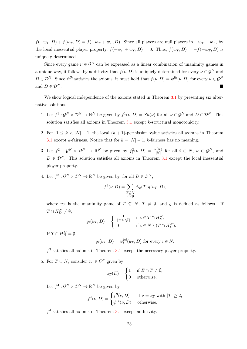$f(-w_T, D) + f(w_T, D) = f(-w_T + w_T, D)$ . Since all players are null players in  $-w_T + w_T$ , by the local inessential player property,  $f(-w_T + w_T, D) = 0$ . Thus,  $f(w_T, D) = -f(-w_T, D)$  is uniquely determined.

Since every game  $\nu \in \mathcal{G}^N$  can be expressed as a linear combination of unanimity games in a unique way, it follows by additivity that  $f(\nu, D)$  is uniquely determined for every  $\nu \in \mathcal{G}^N$  and  $D \in \mathcal{D}^N$ . Since  $\psi^{lk}$  satisfies the axioms, it must hold that  $f(\nu, D) = \psi^{lk}(\nu, D)$  for every  $\nu \in \mathcal{G}^N$ and  $D \in \mathcal{D}^N$ .

We show logical independence of the axioms stated in Theorem [3.1](#page-10-0) by presenting six alternative solutions.

- 1. Let  $f^1: \mathcal{G}^N \times \mathcal{D}^N \to \mathbb{R}^N$  be given by  $f^1(\nu, D) = \mathcal{S}h(\nu)$  for all  $\nu \in \mathcal{G}^N$  and  $D \in \mathcal{D}^N$ . This solution satisfies all axioms in Theorem [3.1](#page-10-0) except k-structural monotonicity.
- 2. For,  $1 \leq k < |N|-1$ , the local  $(k+1)$ -permission value satisfies all axioms in Theorem [3.1](#page-10-0) except k-fairness. Notice that for  $k = |N| - 1$ , k-fairness has no meaning.
- 3. Let  $f^2: \mathcal{G}^N \times \mathcal{D}^N \to \mathbb{R}^N$  be given by  $f_i^2(\nu, D) = \frac{\nu(N)}{|N|}$  for all  $i \in N, \nu \in \mathcal{G}^N$ , and  $D \in \mathcal{D}^N$ . This solution satisfies all axioms in Theorem [3.1](#page-10-0) except the local inessential player property.
- 4. Let  $f^3: \mathcal{G}^N \times \mathcal{D}^N \to \mathbb{R}^N$  be given by, for all  $D \in \mathcal{D}^N$ ,

$$
f^{3}(\nu, D) = \sum_{\substack{T \subseteq N \\ T \neq \emptyset}} \Delta_{v}(T) g(u_{T}, D),
$$

where  $u_T$  is the unanimity game of  $T \subseteq N$ ,  $T \neq \emptyset$ , and g is defined as follows. If  $T \cap H_D^N \neq \emptyset$ ,

$$
g_i(u_T, D) = \begin{cases} \frac{1}{|T \cap H_D^N|} & \text{if } i \in T \cap H_D^N, \\ 0 & \text{if } i \in N \setminus (T \cap H_D^N). \end{cases}
$$

If  $T \cap H_D^N = \emptyset$ 

$$
g_i(u_T, D) = \psi_i^{kd}(u_T, D)
$$
 for every  $i \in N$ .

 $f<sup>3</sup>$  satisfies all axioms in Theorem [3.1](#page-10-0) except the necessary player property.

5. For  $T \subseteq N$ , consider  $z_T \in \mathcal{G}^N$  given by

$$
z_T(E) = \begin{cases} 1 & \text{if } E \cap T \neq \emptyset, \\ 0 & \text{otherwise.} \end{cases}
$$

Let  $f^4: \mathcal{G}^N \times \mathcal{D}^N \to \mathbb{R}^N$  be given by

$$
f^{4}(\nu, D) = \begin{cases} f^{3}(\nu, D) & \text{if } \nu = z_{T} \text{ with } |T| \geq 2, \\ \psi^{lk}(\nu, D) & \text{otherwise.} \end{cases}
$$

 $f<sup>4</sup>$  satisfies all axioms in Theorem [3.1](#page-10-0) except additivity.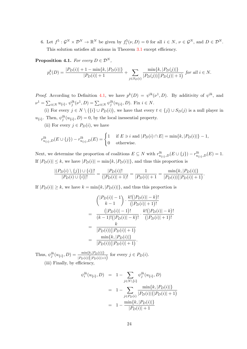6. Let  $f^5: \mathcal{G}^N \times \mathcal{D}^N \to \mathbb{R}^N$  be given by  $f_i^5(\nu, D) = 0$  for all  $i \in N$ ,  $\nu \in \mathcal{G}^N$ , and  $D \in \mathcal{D}^N$ . This solution satisfies all axioms in Theorem [3.1](#page-10-0) except efficiency.

**Proposition 4.1.** For every  $D \in \mathcal{D}^N$ ,

$$
p_i^k(D) = \frac{|P_D(i)| + 1 - \min\{k, |P_D(i)|\}}{|P_D(i)| + 1} + \sum_{j \in S_D(i)} \frac{\min\{k, |P_D(j)|\}}{|P_D(j)|(|P_D(j)| + 1)} \text{ for all } i \in N.
$$

*Proof.* According to Definition [4.1,](#page-11-1) we have  $p^k(D) = \psi^{lk}(\nu^1, D)$ . By additivity of  $\psi^{lk}$ , and  $\nu^1 = \sum_{i \in N} u_{\{i\}}, \psi_j^{lk}(\nu^1, D) = \sum_{i \in N} \psi_j^{lk}(u_{\{i\}}, D)$ . Fix  $i \in N$ .

(i) For every  $j \in N \setminus (\{i\} \cup P_D(i))$ , we have that every  $t \in \{j\} \cup S_D(j)$  is a null player in  $u_{\{i\}}$ . Then,  $\psi_j^{lk}(u_{\{i\}}, D) = 0$ , by the local inessential property.

(ii) For every  $j \in P_D(i)$ , we have

$$
r_{u_{\{i\}},D}^{lk}(E \cup \{j\}) - r_{u_{\{i\}},D}^{lk}(E) = \begin{cases} 1 & \text{if } E \ni i \text{ and } |P_D(i) \cap E| = \min\{k, |P_D(i)|\} - 1, \\ 0 & \text{otherwise.} \end{cases}
$$

Next, we determine the proportion of coalitions  $E \subseteq N$  with  $r_{u_{\{i\}},D}^{lk}(E \cup \{j\}) - r_{u_{\{i\}},D}^{lk}(E) = 1$ . If  $|P_D(i)| \leq k$ , we have  $|P_D(i)| = \min\{k, |P_D(i)|\}$ , and thus this proportion is

$$
\frac{|(P_D(i) \setminus \{j\}) \cup \{i\}|!}{|P_D(i) \cup \{i\}|!} = \frac{|P_D(i)|!}{(|P_D(i)| + 1)!} = \frac{1}{|P_D(i)| + 1} = \frac{\min\{k, |P_D(i)|\}}{|P_D(i)|(|P_D(i)| + 1)}.
$$

If  $|P_D(i)| \geq k$ , we have  $k = \min\{k, |P_D(i)|\}$ , and thus this proportion is

$$
\begin{aligned}\n\binom{|P_D(i)| - 1}{k - 1} \cdot \frac{k! (|P_D(i)| - k)!}{(|P_D(i)| + 1)!} \\
= \frac{(|P_D(i)| - 1)!}{(k - 1)! (|P_D(i)| - k)!} \cdot \frac{k! (|P_D(i)| - k)!}{(|P_D(i)| + 1)!} \\
= \frac{k}{|P_D(i)| (|P_D(i)| + 1)} \\
= \frac{\min\{k, |P_D(i)|\}}{|P_D(i)| (|P_D(i)| + 1)}.\n\end{aligned}
$$

Thus,  $\psi_j^{lk}(u_{\{i\}}, D) = \frac{\min\{k, |P_D(i)|\}}{|P_D(i)|(|P_D(i)|+1)}$  for every  $j \in P_D(i)$ . (iii) Finally, by efficiency,

$$
\psi_i^{lk}(u_{\{i\}}, D) = 1 - \sum_{j \in N \setminus \{i\}} \psi_j^{lk}(u_{\{i\}}, D)
$$
  
= 
$$
1 - \sum_{j \in P_D(i)} \frac{\min\{k, |P_D(i)|\}}{|P_D(i)|(|P_D(i)| + 1)}
$$
  
= 
$$
1 - \frac{\min\{k, |P_D(i)|\}}{|P_D(i)| + 1}
$$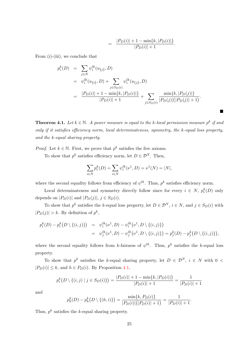$$
= \frac{|P_D(i)| + 1 - \min\{k, |P_D(i)|\}}{|P_D(i)| + 1}.
$$

 $\blacksquare$ 

From (i)-(iii), we conclude that

$$
p_i^k(D) = \sum_{j \in N} \psi_i^{lk}(u_{\{j\}}, D)
$$
  
= 
$$
\psi_i^{lk}(u_{\{i\}}, D) + \sum_{j \in S_D(i)} \psi_i^{lk}(u_{\{j\}}, D)
$$
  
= 
$$
\frac{|P_D(i)| + 1 - \min\{k, |P_D(i)|\}}{|P_D(i)| + 1} + \sum_{j \in S_D(i)} \frac{\min\{k, |P_D(j)|\}}{|P_D(j)|(|P_D(j)| + 1)}.
$$

**Theorem 4.1.** Let  $k \in \mathbb{N}$ . A power measure is equal to the k-local permission measure  $p^k$  if and only if it satisfies efficiency norm, local determinateness, symmetry, the k-equal loss property, and the k-equal sharing property.

*Proof.* Let  $k \in \mathbb{N}$ . First, we prove that  $p^k$  satisfies the five axioms.

To show that  $p^k$  satisfies efficiency norm, let  $D \in \mathcal{D}^N$ . Then,

$$
\sum_{i \in N} p_i^k(D) = \sum_{i \in N} \psi_i^{lk}(\nu^1, D) = \nu^1(N) = |N|,
$$

where the second equality follows from efficiency of  $\psi^{lk}$ . Thus,  $p^k$  satisfies efficiency norm.

Local determinateness and symmetry directly follow since for every  $i \in N$ ,  $p_i^k(D)$  only depends on  $|P_D(i)|$  and  $|P_D(j)|$ ,  $j \in S_D(i)$ .

To show that  $p^k$  satisfies the k-equal loss property, let  $D \in \mathcal{D}^N$ ,  $i \in \mathbb{N}$ , and  $j \in S_D(i)$  with  $|P_D(j)| > k$ . By definition of  $p^k$ ,

$$
p_i^k(D) - p_i^k(D \setminus \{(i,j)\}) = \psi_i^{lk}(\nu^1, D) - \psi_i^{lk}(\nu^1, D \setminus \{(i,j)\})
$$
  
= 
$$
\psi_j^{lk}(\nu^1, D) - \psi_j^{lk}(\nu^1, D \setminus \{(i,j)\}) = p_j^k(D) - p_j^k(D \setminus \{(i,j)\}),
$$

where the second equality follows from k-fairness of  $\psi^{lk}$ . Thus,  $p^k$  satisfies the k-equal loss property.

To show that  $p^k$  satisfies the k-equal sharing property, let  $D \in \mathcal{D}^N$ ,  $i \in N$  with  $0 <$  $|P_D(i)| \leq k$ , and  $h \in P_D(i)$ . By Proposition [4.1,](#page-11-0)

$$
p_i^k(D \setminus \{(i,j) \mid j \in S_D(i)\}) = \frac{|P_D(i)| + 1 - \min\{k, |P_D(i)|\}}{|P_D(i)| + 1} = \frac{1}{|P_D(i)| + 1}
$$

and

$$
p_h^k(D) - p_h^k(D \setminus \{(h,i)\}) = \frac{\min\{k, P_D(i)\}}{|P_D(i)|(|P_D(i)|+1)} = \frac{1}{|P_D(i)|+1}.
$$

Thus,  $p^k$  satisfies the k-equal sharing property.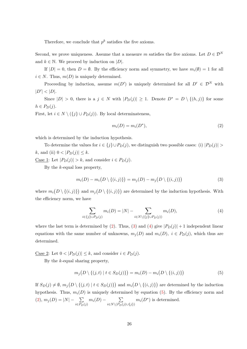Therefore, we conclude that  $p^k$  satisfies the five axioms.

Second, we prove uniqueness. Assume that a measure m satisfies the five axioms. Let  $D \in \mathcal{D}^N$ and  $k \in \mathbb{N}$ . We proceed by induction on  $|D|$ .

If  $|D| = 0$ , then  $D = \emptyset$ . By the efficiency norm and symmetry, we have  $m_i(\emptyset) = 1$  for all  $i \in N$ . Thus,  $m(D)$  is uniquely determined.

Proceeding by induction, assume  $m(D')$  is uniquely determined for all  $D' \in \mathcal{D}^N$  with  $|D'| < |D|$ .

Since  $|D| > 0$ , there is a  $j \in N$  with  $|P_D(j)| \geq 1$ . Denote  $D^* = D \setminus \{(h, j)\}\)$  for some  $h \in P_D(j)$ .

First, let  $i \in N \setminus (\{j\} \cup P_D(j))$ . By local determinateness,

<span id="page-27-0"></span>
$$
m_i(D) = m_i(D^*),\tag{2}
$$

which is determined by the induction hypothesis.

To determine the values for  $i \in \{j\} \cup P_D(j)$ , we distinguish two possible cases: (i)  $|P_D(j)| >$ k, and (ii)  $0 < |P_D(j)| \leq k$ .

<u>Case 1</u>: Let  $|P_D(j)| > k$ , and consider  $i \in P_D(j)$ .

By the  $k$ -equal loss property,

<span id="page-27-1"></span>
$$
m_i(D) - m_i(D \setminus \{(i,j)\}) = m_j(D) - m_j(D \setminus \{(i,j)\})
$$
\n(3)

where  $m_i(D \setminus \{(i,j)\})$  and  $m_j(D \setminus \{(i,j)\})$  are determined by the induction hypothesis. With the efficiency norm, we have

<span id="page-27-2"></span>
$$
\sum_{i \in \{j\} \cup P_D(j)} m_i(D) = |N| - \sum_{i \in N \setminus (\{j\} \cup P_D(j))} m_i(D), \tag{4}
$$

where the last term is determined by [\(2\)](#page-27-0). Thus, [\(3\)](#page-27-1) and [\(4\)](#page-27-2) give  $|P_D(j)| + 1$  independent linear equations with the same number of unknowns,  $m_i(D)$  and  $m_i(D)$ ,  $i \in P_D(i)$ , which thus are determined.

Case 2: Let  $0 < |P_D(j)| \leq k$ , and consider  $i \in P_D(j)$ .

By the k-equal sharing property,

<span id="page-27-3"></span>
$$
m_j(D \setminus \{(j,t) \mid t \in S_D(j)\}) = m_i(D) - m_i(D \setminus \{(i,j)\})
$$
\n(5)

If  $S_D(j) \neq \emptyset$ ,  $m_j(D \setminus \{(j,t) | t \in S_D(j)\})$  and  $m_i(D \setminus \{(i,j)\})$  are determined by the induction hypothesis. Thus,  $m_i(D)$  is uniquely determined by equation [\(5\)](#page-27-3). By the efficiency norm and  $(2), m_j(D) = |N| - \sum$  $(2), m_j(D) = |N| - \sum$  $i \in P_D(j)$  $m_i(D)$  −  $\sum$  $i \in N \setminus (P_D(j) \cup \{j\})$  $m_i(D^*)$  is determined.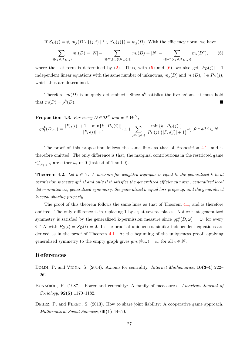If  $S_D(j) = \emptyset$ ,  $m_j(D \setminus \{(j, t) | t \in S_D(j)\}) = m_j(D)$ . With the efficiency norm, we have

<span id="page-28-3"></span>
$$
\sum_{i \in \{j\} \cup P_D(j)} m_i(D) = |N| - \sum_{i \in N \setminus (\{j\} \cup P_D(j))} m_i(D) = |N| - \sum_{i \in N \setminus (\{j\} \cup P_D(j))} m_i(D^*), \tag{6}
$$

where the last term is determined by [\(2\)](#page-27-0). Thus, with [\(5\)](#page-27-3) and [\(6\)](#page-28-3), we also get  $|P_D(j)| + 1$ independent linear equations with the same number of unknowns,  $m_i(D)$  and  $m_i(D)$ ,  $i \in P_D(j)$ , which thus are determined.

Therefore,  $m(D)$  is uniquely determined. Since  $p^k$  satisfies the five axioms, it must hold that  $m(D) = p^k$ (D).

**Proposition 4.3.** For every  $D \in \mathcal{D}^N$  and  $w \in \mathcal{W}^N$ ,

$$
gp_i^k(D, \omega) = \frac{|P_D(i)| + 1 - \min\{k, |P_D(i)|\}}{|P_D(i)| + 1} \omega_i + \sum_{j \in S_D(i)} \frac{\min\{k, |P_D(j)|\}}{|P_D(j)|(|P_D(j)| + 1)} \omega_j \text{ for all } i \in N.
$$

The proof of this proposition follows the same lines as that of Proposition [4.1,](#page-11-0) and is therefore omitted. The only difference is that, the marginal contributions in the restricted game  $r_{\omega_i u_{\{i\}},D}^{lk}$  are either  $\omega_i$  or 0 (instead of 1 and 0).

**Theorem 4.2.** Let  $k \in \mathbb{N}$ . A measure for weighted digraphs is equal to the generalized k-local permission measure gp $^k$  if and only if it satisfies the generalized efficiency norm, generalized local determinateness, generalized symmetry, the generalized k-equal loss property, and the generalized k-equal sharing property.

The proof of this theorem follows the same lines as that of Theorem [4.1,](#page-12-0) and is therefore omitted. The only difference is in replacing 1 by  $\omega_i$  at several places. Notice that generalized symmetry is satisfied by the generalized k-permission measure since  $gp_i^k(D, \omega) = \omega_i$  for every  $i \in N$  with  $P_D(i) = S_D(i) = \emptyset$ . In the proof of uniqueness, similar independent equations are derived as in the proof of Theorem [4.1.](#page-12-0) At the beginning of the uniqueness proof, applying generalized symmetry to the empty graph gives  $gm_i(\emptyset, \omega) = \omega_i$  for all  $i \in N$ .

### References

- <span id="page-28-2"></span>BOLDI, P. and VIGNA, S. (2014). Axioms for centrality. *Internet Mathematics*, 10(3-4) 222– 262.
- <span id="page-28-1"></span>BONACICH, P. (1987). Power and centrality: A family of meaasures. American Journal of Sociology, 92(5) 1170–1182.
- <span id="page-28-0"></span>Dehez, P. and Ferey, S. (2013). How to share joint liability: A cooperative game approach. Mathematical Social Sciences, **66(1)** 44–50.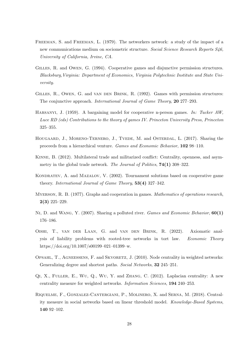- <span id="page-29-10"></span>Freeman, S. and Freeman, L. (1979). The networkers network: a study of the impact of a new communications medium on sociometric structure. Social Science Research Reports S46, University of California, Irvine, CA.
- <span id="page-29-4"></span>Gilles, R. and Owen, G. (1994). Cooperative games and disjunctive permission structures. Blacksburg,Virginia: Department of Economics, Virginia Polytechnic Institute and State University.
- <span id="page-29-3"></span>GILLES, R., OWEN, G. and VAN DEN BRINK, R. (1992). Games with permission structures: The conjunctive approach. International Journal of Game Theory, 20 277–293.
- <span id="page-29-5"></span>Harsanyi, J. (1959). A bargaining model for cooperative n-person games. In: Tucker AW, Luce RD (eds) Contributions to the theory of games IV. Princeton University Press, Princeton 325–355.
- <span id="page-29-1"></span>HOUGAARD, J., MORENO-TERNERO, J., TVEDE, M. and OSTERDAL, L. (2017). Sharing the proceeds from a hierarchical venture. Games and Economic Behavior, 102 98–110.
- <span id="page-29-8"></span>Kinne, B. (2012). Multilateral trade and militarized conflict: Centrality, openness, and asymmetry in the global trade network. The Journal of Politics, 74(1) 308–322.
- <span id="page-29-7"></span>KONDRATEV, A. and MAZALOV, V. (2002). Tournament solutions based on cooperative game theory. International Journal of Game Theory, 53(4) 327–342.
- <span id="page-29-6"></span>MYERSON, R. B. (1977). Graphs and cooperation in games. *Mathematics of operations research*, 2(3) 225–229.
- <span id="page-29-0"></span>NI, D. and WANG, Y. (2007). Sharing a polluted river. Games and Economic Behavior, 60(1) 176–186.
- <span id="page-29-2"></span>Oishi, T., van der Laan, G. and van den Brink, R. (2022). Axiomatic analysis of liability problems with rooted-tree networks in tort law. Economic Theory https://doi.org/10.1007/s00199–021–01399–w.
- <span id="page-29-11"></span>OPSAHL, T., AGNEESSENS, F. and SKVORETZ, J. (2010). Node centrality in weighted networks: Generalizing degree and shortest paths. Social Networks, 32 245–251.
- <span id="page-29-12"></span> $QI, X., FULER, E., WU, Q., WU, Y.$  and ZHANG, C.  $(2012)$ . Laplacian centrality: A new centrality measure for weighted networks. Information Sciences, 194 240–253.
- <span id="page-29-9"></span>Riquelme, F., Gonzalez-Cantergiani, P., Molinero, X. and Serna, M. (2018). Centrality measure in social networks based on linear threshold model. Knowledge-Based Systems, 140 92–102.